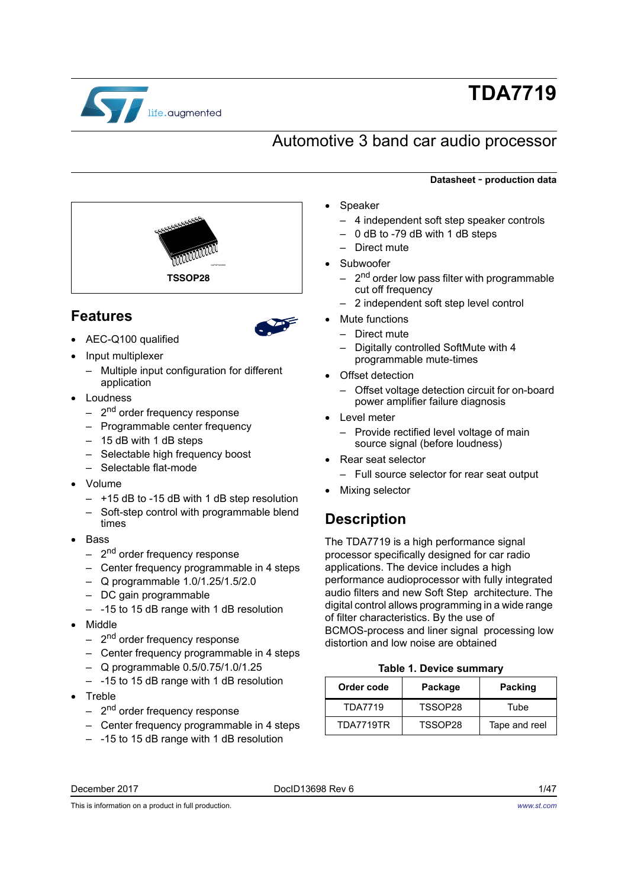

# **TDA7719**

## Automotive 3 band car audio processor



## **Features**



- AEC-Q100 qualified
- Input multiplexer
	- Multiple input configuration for different application
- Loudness
	- 2<sup>nd</sup> order frequency response
	- Programmable center frequency
	- 15 dB with 1 dB steps
	- Selectable high frequency boost
	- Selectable flat-mode
- Volume
	- +15 dB to -15 dB with 1 dB step resolution
	- Soft-step control with programmable blend times
- **Bass** 
	- $-$  2<sup>nd</sup> order frequency response
	- Center frequency programmable in 4 steps
	- Q programmable 1.0/1.25/1.5/2.0
	- DC gain programmable
	- -15 to 15 dB range with 1 dB resolution
- Middle
	- 2<sup>nd</sup> order frequency response
	- Center frequency programmable in 4 steps
	- Q programmable 0.5/0.75/1.0/1.25
	- -15 to 15 dB range with 1 dB resolution
- **Treble** 
	- $-$  2<sup>nd</sup> order frequency response
	- Center frequency programmable in 4 steps
	- -15 to 15 dB range with 1 dB resolution

#### **Datasheet** - **production data**

- Speaker
	- 4 independent soft step speaker controls
	- 0 dB to -79 dB with 1 dB steps
	- Direct mute
- Subwoofer
	- 2<sup>nd</sup> order low pass filter with programmable cut off frequency
	- 2 independent soft step level control
- Mute functions
	- Direct mute
	- Digitally controlled SoftMute with 4 programmable mute-times
- Offset detection
	- Offset voltage detection circuit for on-board power amplifier failure diagnosis
- Level meter
	- Provide rectified level voltage of main source signal (before loudness)
- Rear seat selector
	- Full source selector for rear seat output
- Mixing selector

## **Description**

The TDA7719 is a high performance signal processor specifically designed for car radio applications. The device includes a high performance audioprocessor with fully integrated audio filters and new Soft Step architecture. The digital control allows programming in a wide range of filter characteristics. By the use of BCMOS-process and liner signal processing low distortion and low noise are obtained

#### **Table 1. Device summary**

<span id="page-0-0"></span>

| Order code     | Package | <b>Packing</b> |
|----------------|---------|----------------|
| <b>TDA7719</b> | TSSOP28 | Tube           |
| TDA7719TR      | TSSOP28 | Tape and reel  |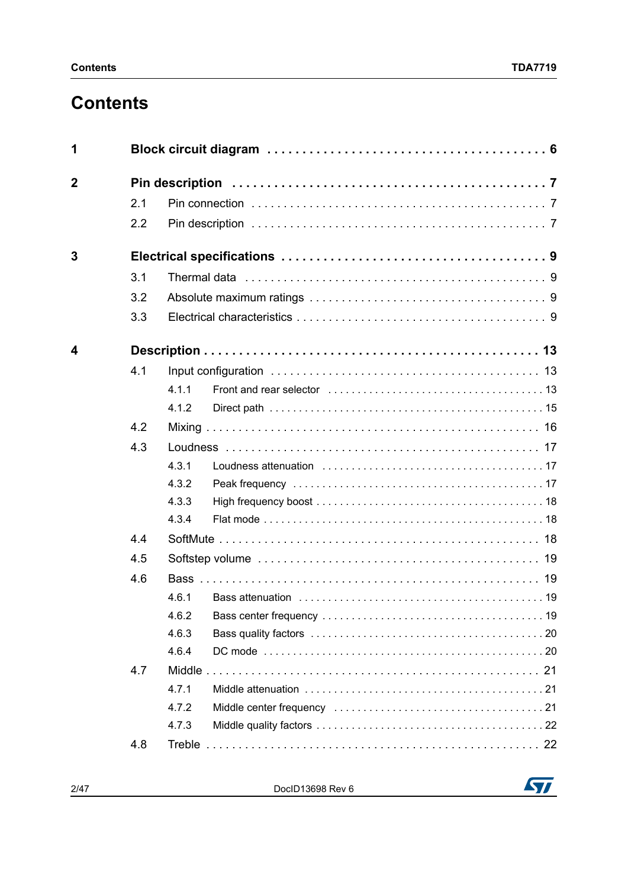## **Contents**

| 1           |     |       |  |
|-------------|-----|-------|--|
| $\mathbf 2$ |     |       |  |
|             | 2.1 |       |  |
|             | 2.2 |       |  |
| 3           |     |       |  |
|             | 3.1 |       |  |
|             | 3.2 |       |  |
|             | 3.3 |       |  |
| 4           |     |       |  |
|             | 4.1 |       |  |
|             |     | 411   |  |
|             |     | 4.1.2 |  |
|             | 4.2 |       |  |
|             | 4.3 |       |  |
|             |     | 4.3.1 |  |
|             |     | 4.3.2 |  |
|             |     | 4.3.3 |  |
|             |     | 4.3.4 |  |
|             | 4.4 |       |  |
|             | 4.5 |       |  |
|             | 4.6 |       |  |
|             |     | 4.6.1 |  |
|             |     | 4.6.2 |  |
|             |     | 4.6.3 |  |
|             |     | 4.6.4 |  |
|             | 4.7 |       |  |
|             |     | 4.7.1 |  |
|             |     | 4.7.2 |  |
|             |     | 4.7.3 |  |
|             | 4.8 |       |  |

2/[47](#page-46-0) DocID13698 Rev 6

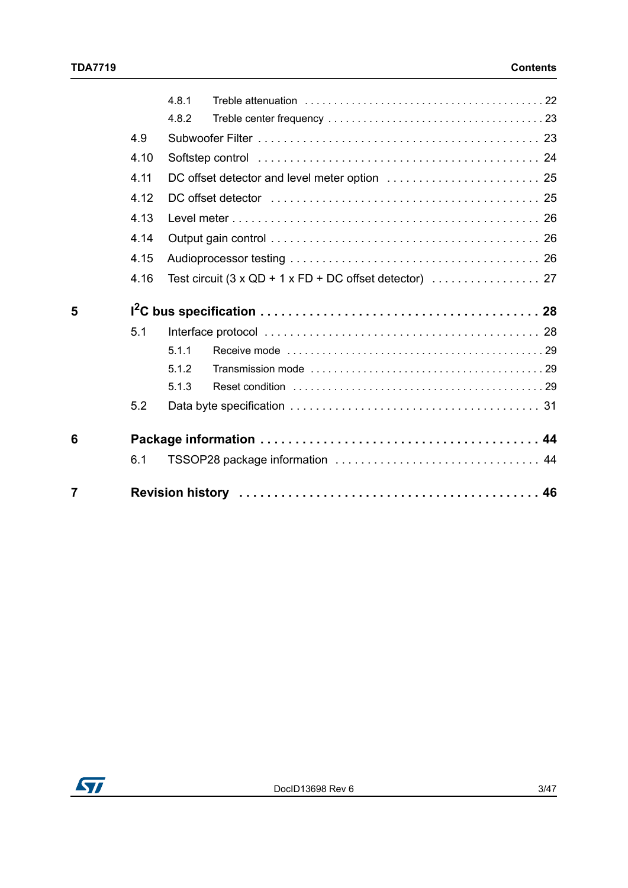|   |      | 4.8.1 |  |
|---|------|-------|--|
|   |      | 4.8.2 |  |
|   | 4.9  |       |  |
|   | 4.10 |       |  |
|   | 4.11 |       |  |
|   | 4.12 |       |  |
|   | 4.13 |       |  |
|   | 4.14 |       |  |
|   | 4.15 |       |  |
|   | 4.16 |       |  |
|   |      |       |  |
| 5 |      |       |  |
|   | 5.1  |       |  |
|   |      | 5.1.1 |  |
|   |      | 5.1.2 |  |
|   |      | 5.1.3 |  |
|   | 5.2  |       |  |
| 6 |      |       |  |
|   | 6.1  |       |  |

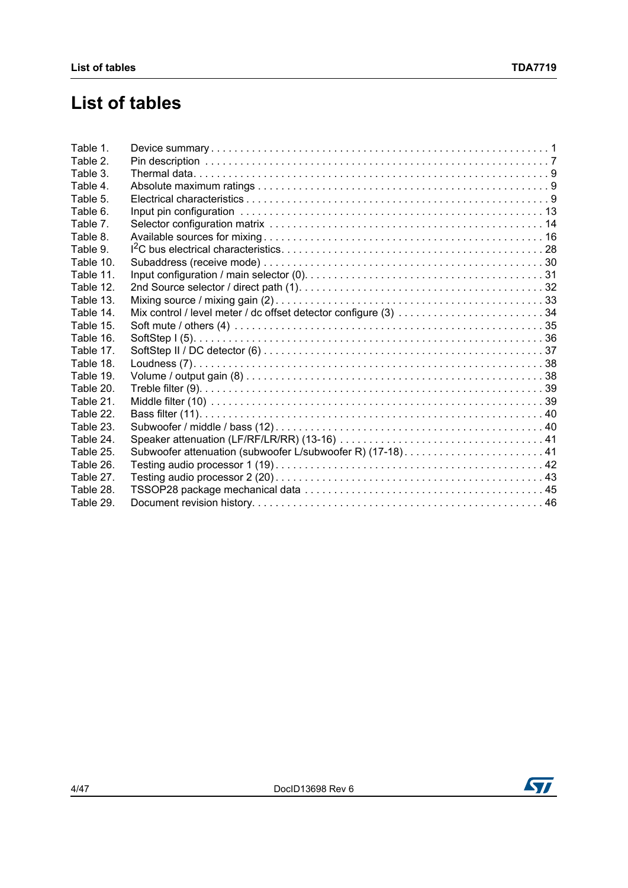## **List of tables**

| Table 1.  |  |
|-----------|--|
| Table 2.  |  |
| Table 3.  |  |
| Table 4.  |  |
| Table 5.  |  |
| Table 6.  |  |
| Table 7.  |  |
| Table 8.  |  |
| Table 9.  |  |
| Table 10. |  |
| Table 11. |  |
| Table 12. |  |
| Table 13. |  |
| Table 14. |  |
| Table 15. |  |
| Table 16. |  |
| Table 17. |  |
| Table 18. |  |
| Table 19. |  |
| Table 20. |  |
| Table 21. |  |
| Table 22. |  |
| Table 23. |  |
| Table 24. |  |
| Table 25. |  |
| Table 26. |  |
| Table 27. |  |
| Table 28. |  |
| Table 29. |  |
|           |  |

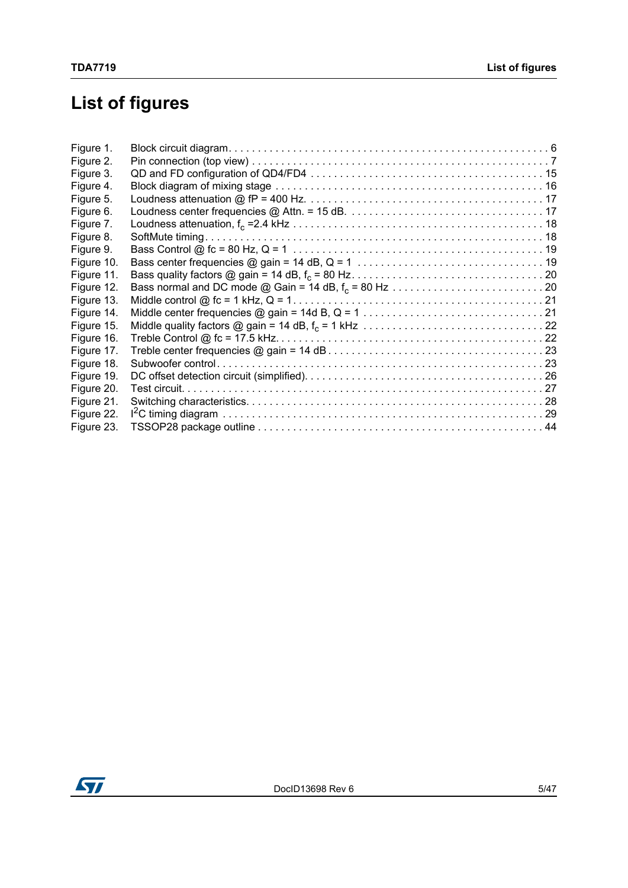# **List of figures**

| Figure 1.  |  |
|------------|--|
| Figure 2.  |  |
| Figure 3.  |  |
| Figure 4.  |  |
| Figure 5.  |  |
| Figure 6.  |  |
| Figure 7.  |  |
| Figure 8.  |  |
| Figure 9.  |  |
| Figure 10. |  |
| Figure 11. |  |
| Figure 12. |  |
| Figure 13. |  |
| Figure 14. |  |
| Figure 15. |  |
| Figure 16. |  |
| Figure 17. |  |
| Figure 18. |  |
| Figure 19. |  |
| Figure 20. |  |
| Figure 21. |  |
| Figure 22. |  |
| Figure 23. |  |
|            |  |

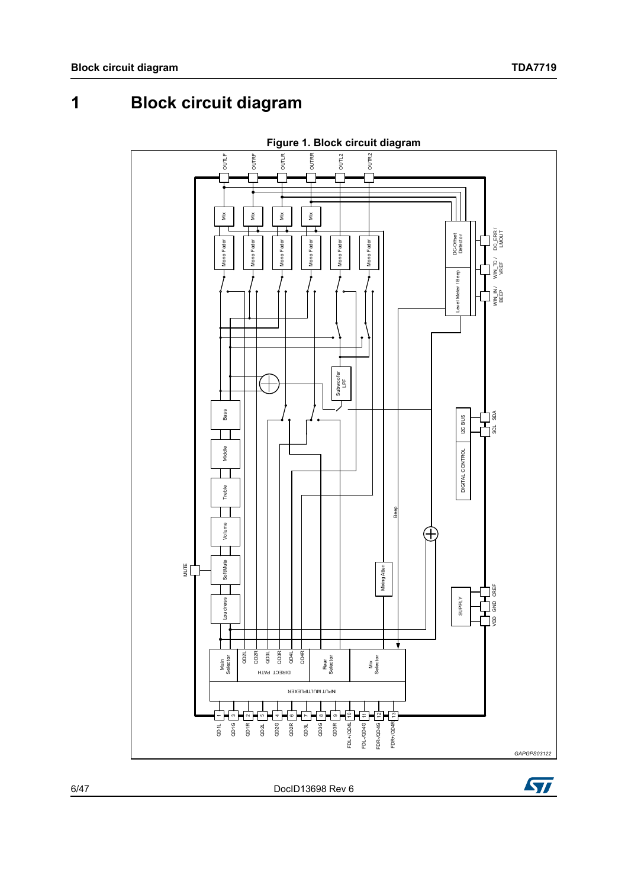<span id="page-5-0"></span>**1 Block circuit diagram**

<span id="page-5-1"></span>

6/[47](#page-46-0) DocID13698 Rev 6

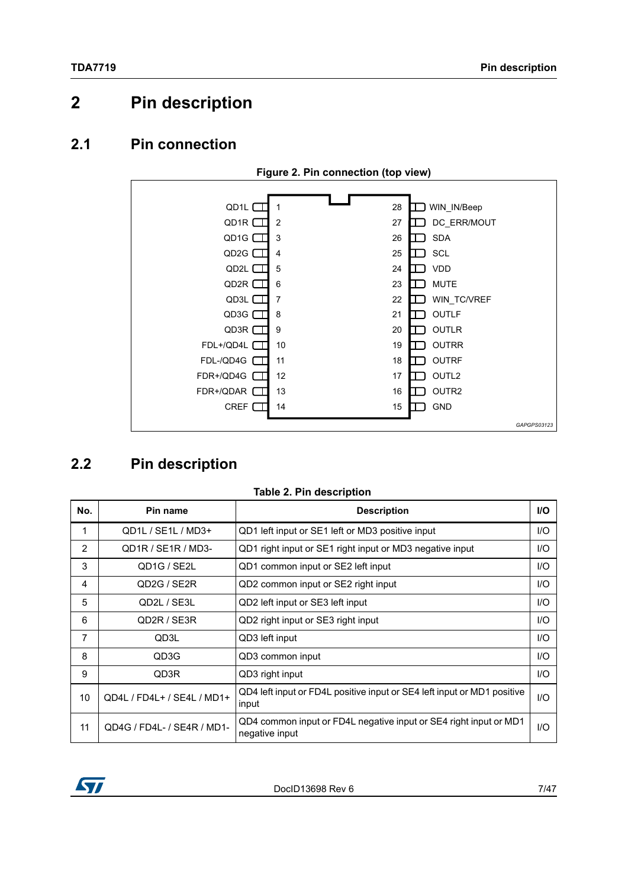## <span id="page-6-0"></span>**2 Pin description**

### <span id="page-6-1"></span>**2.1 Pin connection**

<span id="page-6-4"></span>

## <span id="page-6-2"></span>**2.2 Pin description**

<span id="page-6-3"></span>

| No. | Pin name                            | <b>Description</b>                                                                  |      |
|-----|-------------------------------------|-------------------------------------------------------------------------------------|------|
| 1   | QD1L / SE1L / MD3+                  | QD1 left input or SE1 left or MD3 positive input                                    | $II$ |
| 2   | QD1R / SE1R / MD3-                  | QD1 right input or SE1 right input or MD3 negative input                            | $II$ |
| 3   | QD1G / SE2L                         | QD1 common input or SE2 left input                                                  | I/O  |
| 4   | QD <sub>2G</sub> / SE <sub>2R</sub> | QD2 common input or SE2 right input                                                 | $II$ |
| 5   | QD2L / SE3L                         | QD2 left input or SE3 left input                                                    | $II$ |
| 6   | QD2R / SE3R                         | QD2 right input or SE3 right input                                                  | $II$ |
| 7   | QD3L                                | QD3 left input                                                                      | $UO$ |
| 8   | QD3G                                | QD3 common input                                                                    | I/O  |
| 9   | QD3R                                | QD3 right input                                                                     | 1/O  |
| 10  | QD4L / FD4L+ / SE4L / MD1+          | QD4 left input or FD4L positive input or SE4 left input or MD1 positive<br>input    | $II$ |
| 11  | QD4G / FD4L- / SE4R / MD1-          | QD4 common input or FD4L negative input or SE4 right input or MD1<br>negative input | $UO$ |

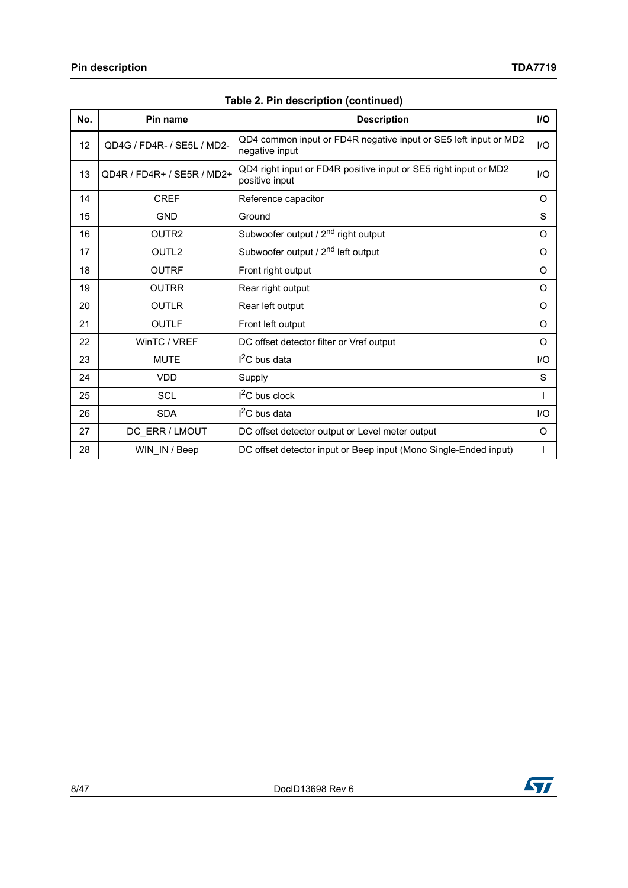| No. | Pin name                   | <b>Description</b>                                                                 | <b>I/O</b> |
|-----|----------------------------|------------------------------------------------------------------------------------|------------|
| 12  | QD4G / FD4R- / SE5L / MD2- | QD4 common input or FD4R negative input or SE5 left input or MD2<br>negative input | 1/O        |
| 13  | QD4R / FD4R+ / SE5R / MD2+ | QD4 right input or FD4R positive input or SE5 right input or MD2<br>positive input | $II$       |
| 14  | <b>CREF</b>                | Reference capacitor                                                                | O          |
| 15  | <b>GND</b>                 | Ground                                                                             | S          |
| 16  | OUTR <sub>2</sub>          | Subwoofer output / 2 <sup>nd</sup> right output                                    | O          |
| 17  | OUTL <sub>2</sub>          | Subwoofer output / 2 <sup>nd</sup> left output                                     | $\Omega$   |
| 18  | <b>OUTRF</b>               | Front right output                                                                 | O          |
| 19  | <b>OUTRR</b>               | Rear right output                                                                  | $\Omega$   |
| 20  | <b>OUTLR</b>               | Rear left output                                                                   | O          |
| 21  | <b>OUTLF</b>               | Front left output                                                                  | O          |
| 22  | WinTC / VREF               | DC offset detector filter or Vref output                                           | O          |
| 23  | <b>MUTE</b>                | I <sup>2</sup> C bus data                                                          | I/O        |
| 24  | <b>VDD</b>                 | Supply                                                                             | S          |
| 25  | <b>SCL</b>                 | $I2C$ bus clock                                                                    |            |
| 26  | <b>SDA</b>                 | I <sup>2</sup> C bus data                                                          | UQ         |
| 27  | DC ERR / LMOUT             | DC offset detector output or Level meter output                                    | O          |
| 28  | WIN IN / Beep              | DC offset detector input or Beep input (Mono Single-Ended input)                   |            |

**Table 2. Pin description (continued)**

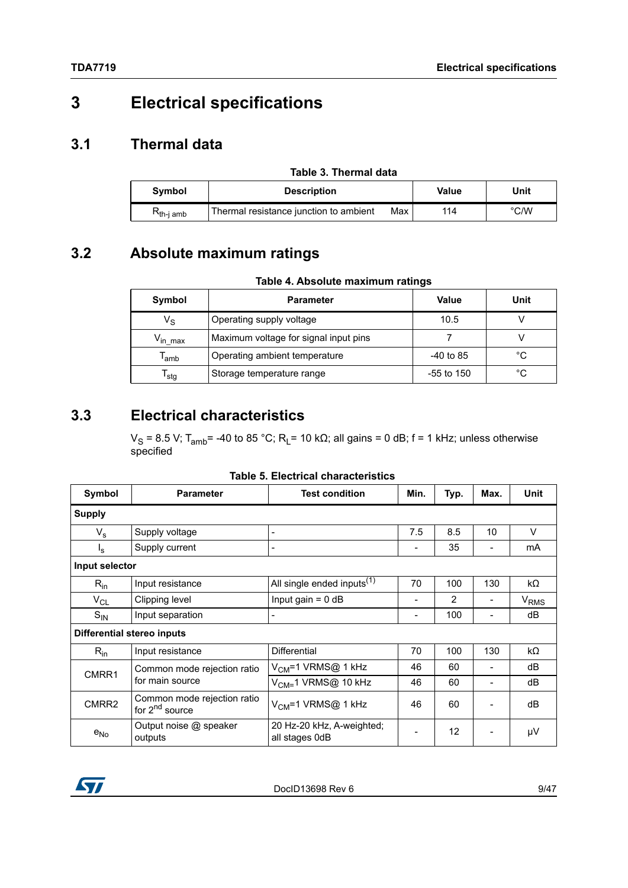## <span id="page-8-0"></span>**3 Electrical specifications**

## <span id="page-8-1"></span>**3.1 Thermal data**

<span id="page-8-4"></span>

| Table 3. Thermal data |                                        |     |       |               |  |
|-----------------------|----------------------------------------|-----|-------|---------------|--|
| Symbol                | <b>Description</b>                     |     | Value | Unit          |  |
| K <sub>th-i amb</sub> | Thermal resistance junction to ambient | Max | 114   | $\degree$ C/W |  |

## <span id="page-8-2"></span>**3.2 Absolute maximum ratings**

|  | Table 4. Absolute maximum ratings |  |
|--|-----------------------------------|--|
|  |                                   |  |

<span id="page-8-5"></span>

| Symbol                      | <b>Parameter</b>                      | Value        | Unit |
|-----------------------------|---------------------------------------|--------------|------|
| $V_{\rm S}$                 | Operating supply voltage              | 10.5         |      |
| $\rm V_{in \ max}$          | Maximum voltage for signal input pins |              |      |
| $\mathsf{T}_{\mathsf{amb}}$ | Operating ambient temperature         | $-40$ to 85  | °C   |
| $\mathsf{T}_{\mathsf{stg}}$ | Storage temperature range             | $-55$ to 150 | °C   |

## <span id="page-8-3"></span>**3.3 Electrical characteristics**

 $V_S$  = 8.5 V; T<sub>amb</sub>= -40 to 85 °C; R<sub>L</sub>= 10 kΩ; all gains = 0 dB; f = 1 kHz; unless otherwise specified

|  |  | Table 5. Electrical characteristics |
|--|--|-------------------------------------|
|--|--|-------------------------------------|

<span id="page-8-6"></span>

| Symbol         | <b>Parameter</b>                                          | <b>Test condition</b>                       | Min. | Typ.           | Max. | Unit                   |
|----------------|-----------------------------------------------------------|---------------------------------------------|------|----------------|------|------------------------|
| <b>Supply</b>  |                                                           |                                             |      |                |      |                        |
| $V_{\rm s}$    | Supply voltage                                            | $\overline{\phantom{a}}$                    | 7.5  | 8.5            | 10   | V                      |
| $I_{\rm S}$    | Supply current                                            |                                             |      | 35             |      | mA                     |
| Input selector |                                                           |                                             |      |                |      |                        |
| $R_{in}$       | Input resistance                                          | All single ended inputs <sup>(1)</sup>      | 70   | 100            | 130  | $k\Omega$              |
| $V_{CL}$       | Clipping level                                            | Input gain = $0$ dB                         | -    | $\overline{2}$ |      | <b>V<sub>RMS</sub></b> |
| $S_{IN}$       | Input separation                                          | $\overline{\phantom{0}}$                    | -    | 100            |      | dB                     |
|                | Differential stereo inputs                                |                                             |      |                |      |                        |
| $R_{in}$       | Input resistance                                          | <b>Differential</b>                         | 70   | 100            | 130  | $k\Omega$              |
| CMRR1          | Common mode rejection ratio                               | V <sub>CM</sub> =1 VRMS@ 1 kHz              | 46   | 60             |      | dB                     |
|                | for main source                                           | V <sub>CM=</sub> 1 VRMS@ 10 kHz             | 46   | 60             |      | dB                     |
| CMRR2          | Common mode rejection ratio<br>for 2 <sup>nd</sup> source | $V_{CM}$ =1 VRMS@ 1 kHz                     | 46   | 60             |      | dB                     |
| $e_{No}$       | Output noise @ speaker<br>outputs                         | 20 Hz-20 kHz, A-weighted;<br>all stages 0dB |      | 12             |      | μV                     |

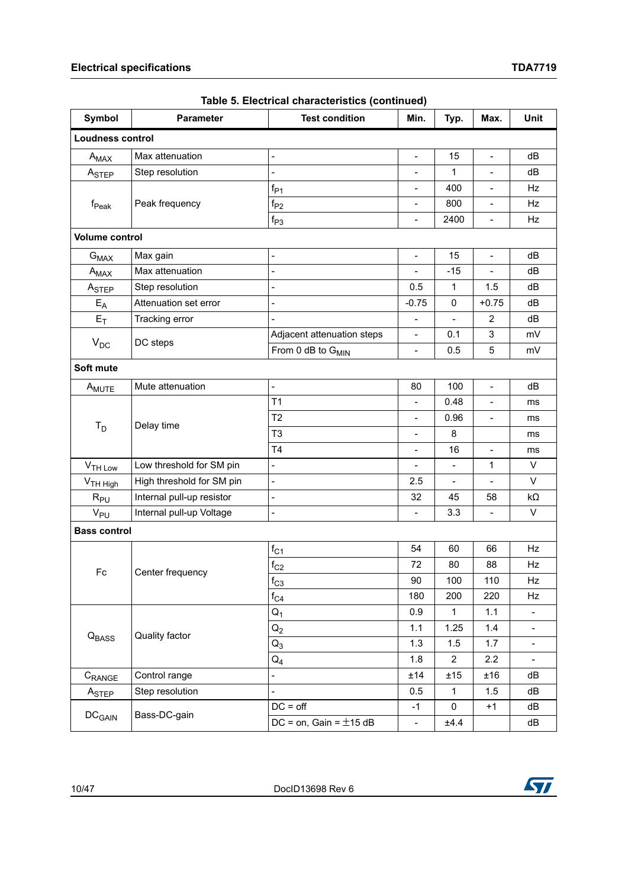| <b>Symbol</b>           | <b>Parameter</b>          | <b>Test condition</b>         | Min.                     | Typ.                     | Max.                         | Unit                     |
|-------------------------|---------------------------|-------------------------------|--------------------------|--------------------------|------------------------------|--------------------------|
| <b>Loudness control</b> |                           |                               |                          |                          |                              |                          |
| $A_{MAX}$               | Max attenuation           | $\overline{a}$                | $\frac{1}{2}$            | 15                       | $\overline{\phantom{a}}$     | dB                       |
| A <sub>STEP</sub>       | Step resolution           | $\overline{a}$                |                          |                          |                              |                          |
|                         |                           | $f_{P1}$                      | $\blacksquare$           | 400                      | $\overline{\phantom{a}}$     | Hz                       |
| $f_{\sf Peak}$          | Peak frequency            | $\mathsf{f}_{\mathsf{P2}}$    | $\blacksquare$           | 800                      | $\overline{\phantom{a}}$     | Hz                       |
|                         |                           | $f_{P3}$                      | $\overline{\phantom{a}}$ | 2400                     | $\overline{\phantom{a}}$     | Hz                       |
| <b>Volume control</b>   |                           |                               |                          |                          |                              |                          |
| $G_{MAX}$               | Max gain                  | $\overline{a}$                | $\overline{a}$           | 15                       | $\overline{\phantom{a}}$     | dB                       |
| $A_{MAX}$               | Max attenuation           | $\overline{a}$                | $\frac{1}{2}$            | $-15$                    | $\overline{\phantom{a}}$     | dB                       |
| A <sub>STEP</sub>       | Step resolution           |                               | 0.5                      | $\mathbf 1$              | 1.5                          | dB                       |
| $E_A$                   | Attenuation set error     |                               | $-0.75$                  | 0                        | $+0.75$                      | dB                       |
| $E_T$                   | Tracking error            |                               | $\overline{a}$           | $\overline{a}$           | $\overline{2}$               | dB                       |
|                         | DC steps                  | Adjacent attenuation steps    | $\blacksquare$           | 0.1                      | 3                            | mV                       |
| $V_{DC}$                |                           | From 0 dB to G <sub>MIN</sub> | $\overline{a}$           | 0.5                      | 5                            | mV                       |
| Soft mute               |                           |                               |                          |                          |                              |                          |
| A <sub>MUTE</sub>       | Mute attenuation          | $\blacksquare$                | 80                       | 100                      | $\overline{\phantom{a}}$     | dB                       |
|                         |                           | T <sub>1</sub>                |                          | 0.48                     |                              | ms                       |
|                         | Delay time                | T <sub>2</sub>                | $\overline{\phantom{a}}$ | 0.96                     | $\qquad \qquad \blacksquare$ | ms                       |
| $T_D$                   |                           | T <sub>3</sub>                | $\qquad \qquad -$        | 8                        |                              | ms                       |
|                         |                           | T <sub>4</sub>                | $\overline{\phantom{a}}$ | 16                       | $\overline{\phantom{a}}$     | ms                       |
| V <sub>TH Low</sub>     | Low threshold for SM pin  | $\overline{a}$                |                          | $\overline{\phantom{a}}$ | 1                            | V                        |
| V <sub>TH High</sub>    | High threshold for SM pin | $\blacksquare$                | 2.5                      | $\overline{\phantom{a}}$ | $\overline{\phantom{a}}$     | V                        |
| $R_{PU}$                | Internal pull-up resistor | $\frac{1}{2}$                 | 32                       | 45                       | 58                           | $k\Omega$                |
| $V_{PU}$                | Internal pull-up Voltage  | $\frac{1}{2}$                 | $\overline{\phantom{a}}$ | 3.3                      | $\overline{\phantom{m}}$     | V                        |
| <b>Bass control</b>     |                           |                               |                          |                          |                              |                          |
|                         |                           | $f_{C1}$                      | 54                       | 60                       | 66                           | Hz                       |
|                         |                           | $\rm{f}_{C2}$                 | 72                       | 80                       | 88                           | Hz                       |
| $\mathsf{Fc}$           | Center frequency          | $f_{C3}$                      | 90                       | 100                      | 110                          | Hz                       |
|                         |                           | $f_{C4}$                      | 180                      | 200                      | 220                          | Hz                       |
|                         |                           | $Q_1$                         | 0.9                      | 1                        | 1.1                          | $\overline{\phantom{a}}$ |
| Q <sub>BASS</sub>       |                           | $Q_2$                         | 1.1                      | 1.25                     | 1.4                          | $\blacksquare$           |
|                         | Quality factor            | $Q_3$                         | 1.3                      | 1.5                      | 1.7                          | $\blacksquare$           |
|                         |                           | $Q_4$                         | 1.8                      | $\overline{2}$           | 2.2                          | $\blacksquare$           |
| C <sub>RANGE</sub>      | Control range             | $\overline{a}$                | ±14                      | ±15                      | ±16                          | dB                       |
| A <sub>STEP</sub>       | Step resolution           |                               | 0.5                      | $\mathbf{1}$             | 1.5                          | dB                       |
|                         | Bass-DC-gain              | $DC = off$                    | -1                       | 0                        | $+1$                         | dB                       |
| $DC_{GAIN}$             |                           | DC = on, Gain = $\pm$ 15 dB   | $\overline{\phantom{a}}$ | ±4.4                     |                              | dB                       |

| Table 5. Electrical characteristics (continued) |
|-------------------------------------------------|
|-------------------------------------------------|

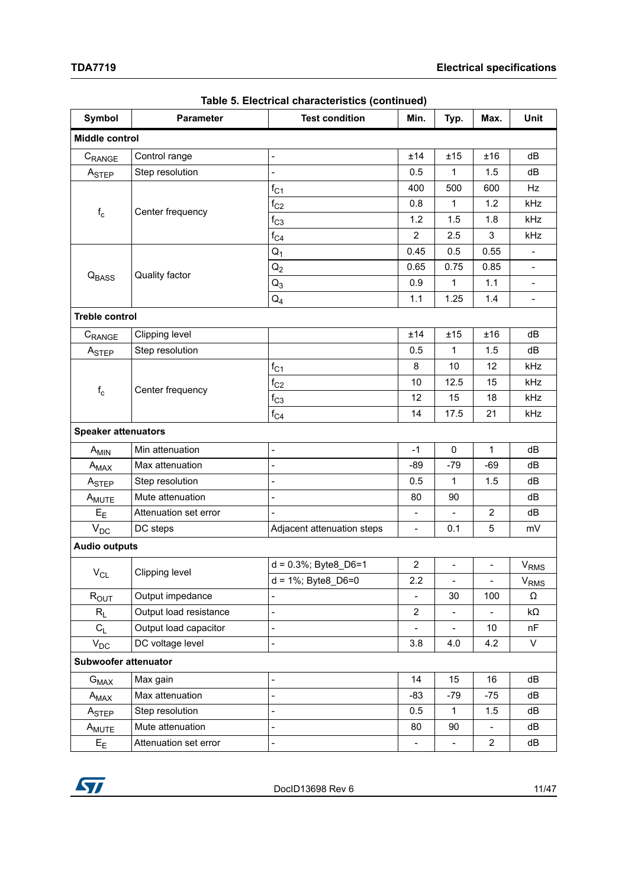| Symbol                     | <b>Test condition</b><br><b>Parameter</b> |                              |                          | Typ.                     | Max.                     | <b>Unit</b>              |
|----------------------------|-------------------------------------------|------------------------------|--------------------------|--------------------------|--------------------------|--------------------------|
| <b>Middle control</b>      |                                           |                              |                          |                          |                          |                          |
| CRANGE                     | Control range                             | L,                           | ±14                      | ±15                      | ±16                      | dB                       |
| ASTEP                      | Step resolution                           | $\overline{a}$               | 0.5                      | $\mathbf{1}$             | 1.5                      | dB                       |
|                            |                                           | $f_{C1}$                     | 400                      | 500                      | 600                      | <b>Hz</b>                |
| $\rm f_c$                  | Center frequency                          | $f_{C2}$                     | 0.8                      | $\mathbf{1}$             | 1.2                      | kHz                      |
|                            |                                           | $f_{C3}$                     | 1.2                      | 1.5                      | 1.8                      | kHz                      |
|                            |                                           | $f_{C4}$                     | $\overline{2}$           | 2.5                      | 3                        | kHz                      |
|                            |                                           | $Q_1$                        | 0.45                     | 0.5                      | 0.55                     |                          |
|                            |                                           | $Q_2$                        | 0.65                     | 0.75                     | 0.85                     | $\overline{\phantom{a}}$ |
| Q <sub>BASS</sub>          | Quality factor                            | $Q_3$                        | 0.9                      | $\mathbf{1}$             | 1.1                      | $\overline{\phantom{a}}$ |
|                            |                                           | $Q_4$                        | 1.1                      | 1.25                     | 1.4                      | $\overline{\phantom{a}}$ |
| <b>Treble control</b>      |                                           |                              |                          |                          |                          |                          |
| CRANGE                     | Clipping level                            |                              | ±14                      | ±15                      | ±16                      | dB                       |
| A <sub>STEP</sub>          | Step resolution                           |                              | 0.5                      | $\mathbf{1}$             | 1.5                      | dB                       |
|                            |                                           | $f_{C1}$                     | 8                        | 10                       | 12                       | kHz                      |
| $\rm f_c$                  | Center frequency                          | $\rm{f}_{C2}$                | 10                       | 12.5                     | 15                       | kHz                      |
|                            |                                           | $f_{C3}$                     | 12                       | 15                       | 18                       | kHz                      |
|                            |                                           | $\rm{f_{C4}}$                | 14                       | 17.5                     | 21                       | kHz                      |
| <b>Speaker attenuators</b> |                                           |                              |                          |                          |                          |                          |
| A <sub>MIN</sub>           | Min attenuation                           | $\blacksquare$               | $-1$                     | $\pmb{0}$                | $\mathbf{1}$             | dB                       |
| $A_{MAX}$                  | Max attenuation                           |                              | $-89$                    | $-79$                    | $-69$                    | dB                       |
| ASTEP                      | Step resolution                           |                              | 0.5                      | $\mathbf{1}$             | 1.5                      | dB                       |
| A <sub>MUTE</sub>          | Mute attenuation                          | $\overline{a}$               | 80                       | 90                       |                          | dB                       |
| $E_{E}$                    | Attenuation set error                     |                              | $\blacksquare$           | $\blacksquare$           | $\mathbf{2}$             | dB                       |
| $\mathsf{V}_{\mathsf{DC}}$ | DC steps                                  | Adjacent attenuation steps   | $\overline{\phantom{a}}$ | 0.1                      | 5                        | mV                       |
| <b>Audio outputs</b>       |                                           |                              |                          |                          |                          |                          |
|                            |                                           | $d = 0.3\%$ ; Byte8_D6=1     | $\overline{2}$           | $\blacksquare$           | $\overline{\phantom{a}}$ | V <sub>RMS</sub>         |
| $\rm V_{CL}$               | Clipping level                            | $d = 1\%$ ; Byte8_D6=0       | 2.2                      | ۰.                       | $\overline{\phantom{a}}$ | $V_{RMS}$                |
| $R_{OUT}$                  | Output impedance                          | $\qquad \qquad \blacksquare$ | $\overline{\phantom{a}}$ | 30                       | 100                      | Ω                        |
| $R_L$                      | Output load resistance                    | $\frac{1}{2}$                | $\overline{2}$           | $\overline{\phantom{a}}$ |                          | kΩ                       |
| $C_{L}$                    | Output load capacitor                     | $\overline{a}$               |                          | $\overline{\phantom{a}}$ | 10 <sup>°</sup>          | nF                       |
| $V_{DC}$                   | DC voltage level                          | $\frac{1}{2}$                | 3.8                      | 4.0                      | 4.2                      | V                        |
| Subwoofer attenuator       |                                           |                              |                          |                          |                          |                          |
| $G_{MAX}$                  | Max gain                                  | $\overline{a}$               | 14                       | 15                       | 16                       | dB                       |
| $A_{MAX}$                  | Max attenuation                           | $\overline{a}$               | $-83$                    | $-79$                    | -75                      | dB                       |
| A <sub>STEP</sub>          | Step resolution                           | $\overline{a}$               | 0.5                      | $\mathbf 1$              | 1.5                      | dB                       |
| A <sub>MUTE</sub>          | Mute attenuation                          | $\overline{a}$               | 80                       | 90                       |                          | dB                       |
| $E_{E}$                    | Attenuation set error                     | $\frac{1}{2}$                | $\overline{\phantom{a}}$ |                          | $\overline{2}$           | dB                       |

#### **Table 5. Electrical characteristics (continued)**

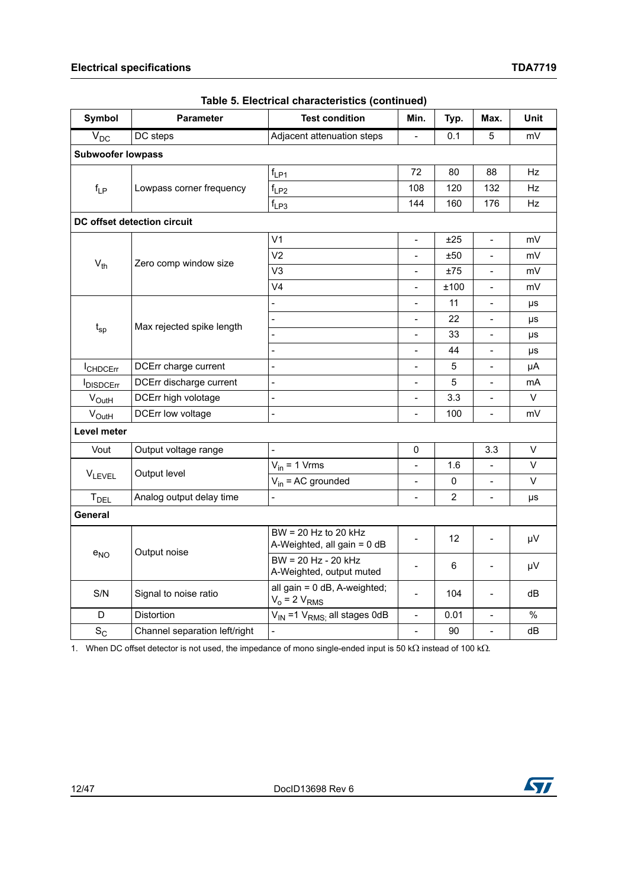| <b>Symbol</b>            | <b>Parameter</b>              | <b>Test condition</b>                                 | Min.                         | Typ.            | Max.                     | Unit      |
|--------------------------|-------------------------------|-------------------------------------------------------|------------------------------|-----------------|--------------------------|-----------|
| $\bar{V}_{DC}$           | DC steps                      | Adjacent attenuation steps                            | $\blacksquare$               | 0.1             | 5                        | mV        |
| <b>Subwoofer lowpass</b> |                               |                                                       |                              |                 |                          |           |
|                          |                               | $f_{LP1}$                                             | 72                           | 80              | 88                       | <b>Hz</b> |
| $f_{LP}$                 | Lowpass corner frequency      | $f_{LP2}$                                             | 108                          | 120             | 132                      | Hz        |
|                          |                               | $f_{LP3}$                                             | 144                          | 160             | 176                      | Hz        |
|                          | DC offset detection circuit   |                                                       |                              |                 |                          |           |
|                          |                               | V <sub>1</sub>                                        | $\bar{\phantom{a}}$          | ±25             | ÷.                       | mV        |
|                          |                               | V <sub>2</sub>                                        |                              | ±50             |                          | mV        |
| $V_{th}$                 | Zero comp window size         | V <sub>3</sub>                                        | $\blacksquare$               | ±75             | $\overline{\phantom{a}}$ | mV        |
|                          |                               | V <sub>4</sub>                                        | $\overline{\phantom{0}}$     | ±100            | $\overline{\phantom{a}}$ | mV        |
|                          |                               | $\overline{a}$                                        | $\blacksquare$               | 11              | $\blacksquare$           | μs        |
|                          | Max rejected spike length     |                                                       |                              | 22              |                          | μs        |
| $t_{sp}$                 |                               |                                                       | $\overline{a}$               | 33              | $\overline{\phantom{0}}$ | μs        |
|                          |                               | $\frac{1}{2}$                                         | $\qquad \qquad \blacksquare$ | 44              | $\blacksquare$           | μs        |
| <b>I</b> CHDCErr         | DCErr charge current          | $\frac{1}{2}$                                         | $\overline{\phantom{a}}$     | 5               | $\overline{\phantom{a}}$ | μA        |
| <b>IDISDCErr</b>         | DCErr discharge current       | $\overline{a}$                                        | $\blacksquare$               | 5               | $\frac{1}{2}$            | mA        |
| $V_{\text{OutH}}$        | DCErr high volotage           | $\overline{a}$                                        | $\overline{a}$               | 3.3             |                          | V         |
| $V_{\text{OutH}}$        | DCErr low voltage             | $\overline{a}$                                        | $\blacksquare$               | 100             | $\overline{\phantom{a}}$ | mV        |
| Level meter              |                               |                                                       |                              |                 |                          |           |
| Vout                     | Output voltage range          | $\overline{a}$                                        | $\pmb{0}$                    |                 | 3.3                      | V         |
|                          |                               | $V_{in}$ = 1 Vrms                                     | $\blacksquare$               | 1.6             | $\blacksquare$           | $\vee$    |
| <b>VLEVEL</b>            | Output level                  | $V_{in}$ = AC grounded                                | $\blacksquare$               | 0               | $\frac{1}{2}$            | V         |
| T <sub>DEL</sub>         | Analog output delay time      |                                                       | $\overline{a}$               | $\overline{2}$  |                          | μs        |
| General                  |                               |                                                       |                              |                 |                          |           |
|                          |                               | $BW = 20 Hz$ to 20 kHz<br>A-Weighted, all gain = 0 dB |                              | 12 <sup>2</sup> | $\overline{\phantom{a}}$ | μV        |
| $e_{NO}$                 | Output noise                  | BW = 20 Hz - 20 kHz<br>A-Weighted, output muted       | $\overline{a}$               | 6               | $\overline{\phantom{a}}$ | μV        |
| S/N                      | Signal to noise ratio         | all gain = 0 dB, A-weighted;<br>$V_o = 2 V_{RMS}$     | $\blacksquare$               | 104             | $\overline{\phantom{a}}$ | dB        |
| D                        | Distortion                    | $V_{IN}$ =1 $V_{RMS}$ ; all stages 0dB                | $\overline{\phantom{a}}$     | 0.01            | $\overline{a}$           | $\%$      |
| $S_{C}$                  | Channel separation left/right | $\overline{a}$                                        | $\overline{\phantom{a}}$     | 90              |                          | dB        |

|  | Table 5. Electrical characteristics (continued) |  |
|--|-------------------------------------------------|--|
|  |                                                 |  |

1. When DC offset detector is not used, the impedance of mono single-ended input is 50 k $\Omega$  instead of 100 k $\Omega$ .

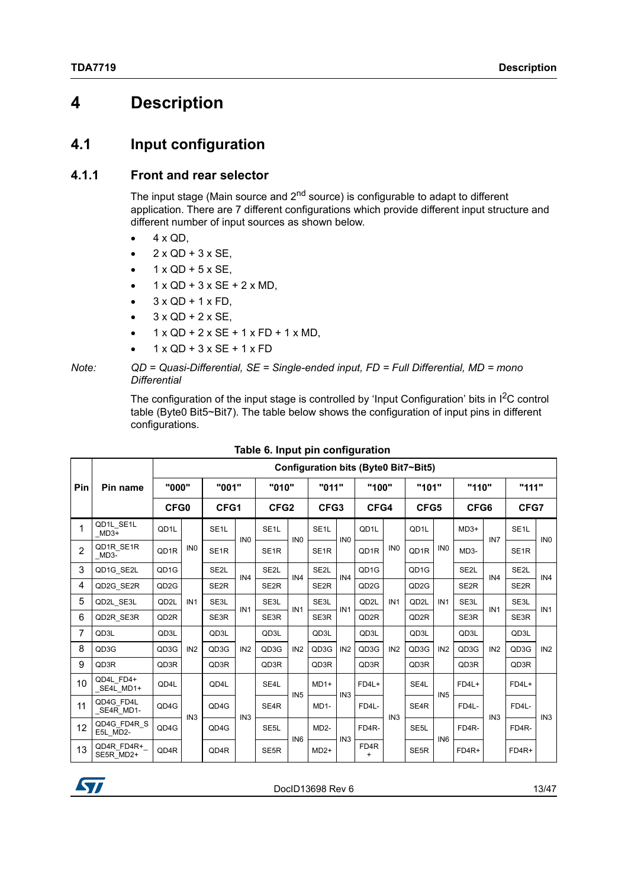## <span id="page-12-0"></span>**4 Description**

### <span id="page-12-1"></span>**4.1 Input configuration**

#### <span id="page-12-2"></span>**4.1.1 Front and rear selector**

The input stage (Main source and  $2<sup>nd</sup>$  source) is configurable to adapt to different application. There are 7 different configurations which provide different input structure and different number of input sources as shown below.

- $\bullet$  4 x QD,
- 2 x QD + 3 x SE,
- $1 x QD + 5 x SE$ ,
- $1 \times QD + 3 \times SE + 2 \times MD$ ,
- $3 \times QD + 1 \times FD$ ,
- 3 x QD + 2 x SE,
- 1 x QD + 2 x SE + 1 x FD + 1 x MD,
- 1 x QD + 3 x SE + 1 x FD

The configuration of the input stage is controlled by 'Input Configuration' bits in  $I^2C$  control table (Byte0 Bit5~Bit7). The table below shows the configuration of input pins in different configurations.

<span id="page-12-3"></span>

|                |                         |                   | Configuration bits (Byte0 Bit7~Bit5) |                   |                 |                   |                 |                   |                 |                   |                 |                   |                 |                   |                 |                   |                 |
|----------------|-------------------------|-------------------|--------------------------------------|-------------------|-----------------|-------------------|-----------------|-------------------|-----------------|-------------------|-----------------|-------------------|-----------------|-------------------|-----------------|-------------------|-----------------|
| Pin            | Pin name                | "000"             |                                      | "001"             |                 | "010"             |                 | "011"             |                 | "100"             |                 | "101"             |                 | "110"             |                 | "111"             |                 |
|                |                         | CFG0              |                                      | CFG1              |                 | CFG <sub>2</sub>  |                 | CFG3              |                 | CFG4              |                 | CFG5              |                 | CFG6              |                 | CFG7              |                 |
|                | QD1L SE1L<br>MD3+       | QD1L              |                                      | SE <sub>1</sub> L | IN <sub>0</sub> | SE <sub>1</sub> L | IN <sub>0</sub> | SE <sub>1</sub> L | IN <sub>0</sub> | QD <sub>1</sub> L |                 | QD1L              |                 | $MD3+$            | IN <sub>7</sub> | SE <sub>1</sub> L | IN <sub>0</sub> |
| $\overline{2}$ | QD1R SE1R<br>MD3-       | QD1R              | IN <sub>0</sub>                      | SE <sub>1R</sub>  |                 | SE <sub>1R</sub>  |                 | SE <sub>1R</sub>  |                 | QD1R              | IN <sub>0</sub> | QD1R              | IN <sub>0</sub> | MD <sub>3</sub> - |                 | SE <sub>1R</sub>  |                 |
| 3              | QD1G SE2L               | QD1G              |                                      | SE <sub>2</sub> L | IN4             | SE <sub>2</sub> L | IN4             | SE <sub>2</sub> L | IN4             | QD <sub>1G</sub>  |                 | QD <sub>1G</sub>  |                 | SE <sub>2</sub> L | IN <sub>4</sub> | SE <sub>2</sub> L | IN4             |
| 4              | QD2G SE2R               | QD <sub>2</sub> G |                                      | SE <sub>2R</sub>  |                 | SE <sub>2R</sub>  |                 | SE <sub>2R</sub>  |                 | QD <sub>2</sub> G |                 | QD <sub>2</sub> G |                 | SE <sub>2R</sub>  |                 | SE <sub>2R</sub>  |                 |
| 5              | QD2L SE3L               | QD2L              | IN <sub>1</sub>                      | SE3L              | IN <sub>1</sub> | SE3L              | IN <sub>1</sub> | SE3L              | IN <sub>1</sub> | QD2L              | IN <sub>1</sub> | QD2L              | IN <sub>1</sub> | SE3L              | IN <sub>1</sub> | SE3L              | IN <sub>1</sub> |
| 6              | QD2R SE3R               | QD <sub>2</sub> R |                                      | SE3R              |                 | SE3R              |                 | SE3R              |                 | QD2R              |                 | QD <sub>2</sub> R |                 | SE3R              |                 | SE3R              |                 |
| 7              | QD3L                    | QD3L              |                                      | QD3L              |                 | QD3L              |                 | QD3L              |                 | QD3L              |                 | QD3L              |                 | QD3L              |                 | QD3L              |                 |
| 8              | QD3G                    | QD3G              | IN <sub>2</sub>                      | QD3G              | IN <sub>2</sub> | QD3G              | IN <sub>2</sub> | QD3G              | IN <sub>2</sub> | QD3G              | IN <sub>2</sub> | QD3G              | IN <sub>2</sub> | QD3G              | IN <sub>2</sub> | QD3G              | IN <sub>2</sub> |
| 9              | QD3R                    | QD3R              |                                      | QD3R              |                 | QD3R              |                 | QD3R              |                 | QD3R              |                 | QD3R              |                 | QD3R              |                 | QD3R              |                 |
| 10             | QD4L FD4+<br>_SE4L_MD1+ | QD4L              |                                      | QD4L              |                 | SE4L              | IN <sub>5</sub> | $MD1+$            | IN <sub>3</sub> | FD4L+             |                 | SE4L              | IN <sub>5</sub> | FD4L+             |                 | $FD4L+$           |                 |
| 11             | QD4G FD4L<br>SE4R MD1-  | QD4G              | IN <sub>3</sub>                      | QD4G              | IN <sub>3</sub> | SE4R              |                 | $MD1-$            |                 | FD4L-             | IN <sub>3</sub> | SE <sub>4</sub> R |                 | FD4L-             | IN3             | FD4L-             | IN <sub>3</sub> |
| 12             | QD4G FD4R S<br>E5L MD2- | QD4G              |                                      | QD4G              |                 | SE <sub>5</sub> L | IN <sub>6</sub> | $MD2-$            | IN <sub>3</sub> | FD4R-             |                 | SE <sub>5</sub> L | IN <sub>6</sub> | FD4R-             |                 | FD4R-             |                 |
| 13             | QD4R FD4R+<br>SE5R MD2+ | QD4R              |                                      | QD4R              |                 | SE <sub>5</sub> R |                 | $MD2+$            |                 | FD4R<br>$\ddot{}$ |                 | SE <sub>5</sub> R |                 | FD4R+             |                 | FD4R+             |                 |

#### **Table 6. Input pin configuration**



*Note: QD = Quasi-Differential, SE = Single-ended input, FD = Full Differential, MD = mono Differential*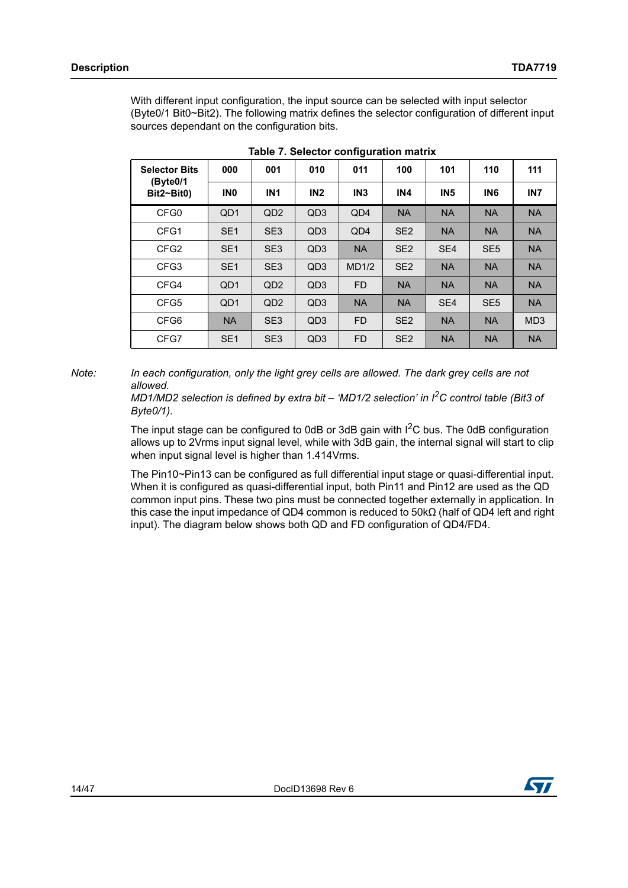With different input configuration, the input source can be selected with input selector (Byte0/1 Bit0~Bit2). The following matrix defines the selector configuration of different input sources dependant on the configuration bits.

<span id="page-13-0"></span>

| <b>Selector Bits</b><br>(Byte0/1 | 000             | 001             | 010             | 011             | 100             | 101             | 110             | 111             |
|----------------------------------|-----------------|-----------------|-----------------|-----------------|-----------------|-----------------|-----------------|-----------------|
| $Bit2~-Bit0)$                    | IN <sub>0</sub> | <b>IN1</b>      | IN <sub>2</sub> | IN <sub>3</sub> | IN <sub>4</sub> | IN <sub>5</sub> | IN <sub>6</sub> | IN <sub>7</sub> |
| CFG <sub>0</sub>                 | QD <sub>1</sub> | QD <sub>2</sub> | QD <sub>3</sub> | QD4             | <b>NA</b>       | <b>NA</b>       | <b>NA</b>       | <b>NA</b>       |
| CFG1                             | SE <sub>1</sub> | SE <sub>3</sub> | QD <sub>3</sub> | QD4             | SE <sub>2</sub> | <b>NA</b>       | <b>NA</b>       | <b>NA</b>       |
| CFG <sub>2</sub>                 | SE <sub>1</sub> | SE <sub>3</sub> | QD <sub>3</sub> | <b>NA</b>       | SE <sub>2</sub> | SE <sub>4</sub> | SE <sub>5</sub> | <b>NA</b>       |
| CFG <sub>3</sub>                 | SE <sub>1</sub> | SE <sub>3</sub> | QD <sub>3</sub> | MD1/2           | SE <sub>2</sub> | <b>NA</b>       | <b>NA</b>       | <b>NA</b>       |
| CFG4                             | QD <sub>1</sub> | QD <sub>2</sub> | QD <sub>3</sub> | <b>FD</b>       | <b>NA</b>       | <b>NA</b>       | <b>NA</b>       | <b>NA</b>       |
| CFG5                             | QD <sub>1</sub> | QD <sub>2</sub> | QD <sub>3</sub> | <b>NA</b>       | <b>NA</b>       | SE <sub>4</sub> | SE <sub>5</sub> | <b>NA</b>       |
| CFG6                             | <b>NA</b>       | SE <sub>3</sub> | QD <sub>3</sub> | <b>FD</b>       | SE <sub>2</sub> | <b>NA</b>       | <b>NA</b>       | MD <sub>3</sub> |
| CFG7                             | SE <sub>1</sub> | SE <sub>3</sub> | QD <sub>3</sub> | <b>FD</b>       | SE <sub>2</sub> | <b>NA</b>       | <b>NA</b>       | <b>NA</b>       |

**Table 7. Selector configuration matrix**

*Note: In each configuration, only the light grey cells are allowed. The dark grey cells are not allowed.*

> *MD1/MD2 selection is defined by extra bit – 'MD1/2 selection' in I2C control table (Bit3 of Byte0/1).*

The input stage can be configured to 0dB or 3dB gain with  $I^2C$  bus. The 0dB configuration allows up to 2Vrms input signal level, while with 3dB gain, the internal signal will start to clip when input signal level is higher than 1.414Vrms.

The Pin10~Pin13 can be configured as full differential input stage or quasi-differential input. When it is configured as quasi-differential input, both Pin11 and Pin12 are used as the QD common input pins. These two pins must be connected together externally in application. In this case the input impedance of QD4 common is reduced to 50kΩ (half of QD4 left and right input). The diagram below shows both QD and FD configuration of QD4/FD4.

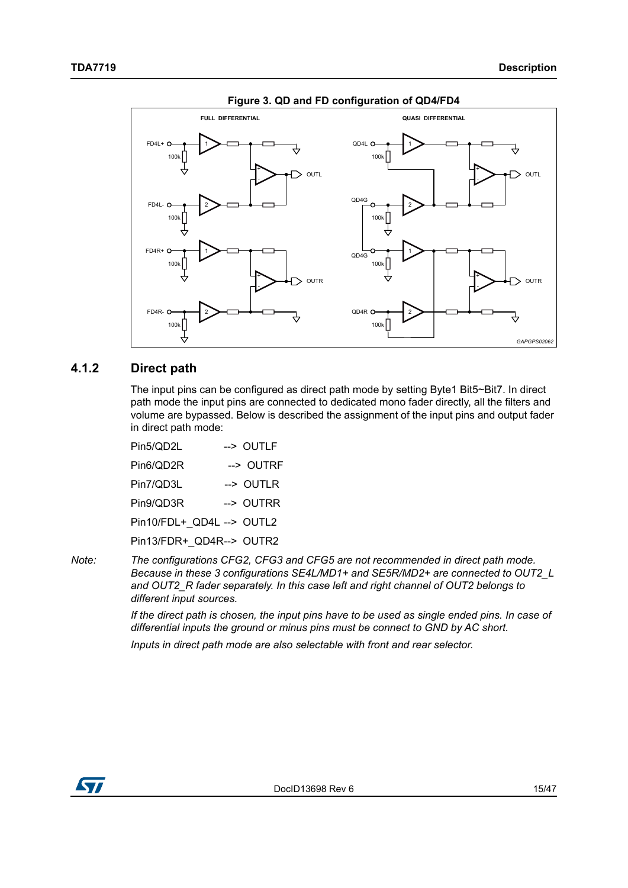<span id="page-14-1"></span>

**Figure 3. QD and FD configuration of QD4/FD4**

#### <span id="page-14-0"></span>**4.1.2 Direct path**

The input pins can be configured as direct path mode by setting Byte1 Bit5~Bit7. In direct path mode the input pins are connected to dedicated mono fader directly, all the filters and volume are bypassed. Below is described the assignment of the input pins and output fader in direct path mode:

| Pin5/QD2L                 | --> OUTLF |
|---------------------------|-----------|
| Pin6/QD2R                 | --> OUTRF |
| Pin7/QD3L                 | --> OUTLR |
| Pin9/QD3R                 | --> OUTRR |
| Pin10/FDL+_QD4L --> OUTL2 |           |
| Pin13/FDR+ QD4R--> OUTR2  |           |
|                           |           |

*Note: The configurations CFG2, CFG3 and CFG5 are not recommended in direct path mode. Because in these 3 configurations SE4L/MD1+ and SE5R/MD2+ are connected to OUT2\_L and OUT2\_R fader separately. In this case left and right channel of OUT2 belongs to different input sources.*

> *If the direct path is chosen, the input pins have to be used as single ended pins. In case of differential inputs the ground or minus pins must be connect to GND by AC short.*

*Inputs in direct path mode are also selectable with front and rear selector.*

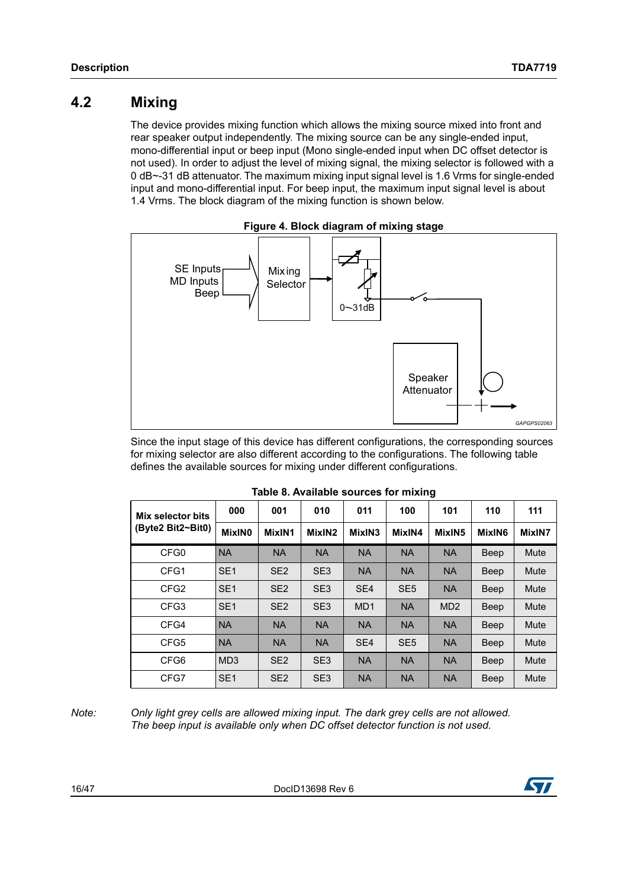## <span id="page-15-0"></span>**4.2 Mixing**

The device provides mixing function which allows the mixing source mixed into front and rear speaker output independently. The mixing source can be any single-ended input, mono-differential input or beep input (Mono single-ended input when DC offset detector is not used). In order to adjust the level of mixing signal, the mixing selector is followed with a 0 dB~-31 dB attenuator. The maximum mixing input signal level is 1.6 Vrms for single-ended input and mono-differential input. For beep input, the maximum input signal level is about 1.4 Vrms. The block diagram of the mixing function is shown below.

<span id="page-15-2"></span>

Since the input stage of this device has different configurations, the corresponding sources for mixing selector are also different according to the configurations. The following table defines the available sources for mixing under different configurations.

<span id="page-15-1"></span>

| Mix selector bits | 000             | 001             | 010             | 011             | 100             | 101             | 110    | 111    |
|-------------------|-----------------|-----------------|-----------------|-----------------|-----------------|-----------------|--------|--------|
| (Byte2 Bit2~Bit0) | MixIN0          | MixIN1          | MixIN2          | MixIN3          | MixIN4          | MixIN5          | MixIN6 | MixIN7 |
| CFG0              | <b>NA</b>       | <b>NA</b>       | <b>NA</b>       | <b>NA</b>       | <b>NA</b>       | <b>NA</b>       | Beep   | Mute   |
| CFG1              | SE <sub>1</sub> | SE <sub>2</sub> | SE <sub>3</sub> | <b>NA</b>       | <b>NA</b>       | <b>NA</b>       | Beep   | Mute   |
| CFG <sub>2</sub>  | SE <sub>1</sub> | SE <sub>2</sub> | SE <sub>3</sub> | SE <sub>4</sub> | SE <sub>5</sub> | <b>NA</b>       | Beep   | Mute   |
| CFG <sub>3</sub>  | SE <sub>1</sub> | SE <sub>2</sub> | SE <sub>3</sub> | MD <sub>1</sub> | <b>NA</b>       | MD <sub>2</sub> | Beep   | Mute   |
| CFG4              | <b>NA</b>       | <b>NA</b>       | <b>NA</b>       | <b>NA</b>       | <b>NA</b>       | <b>NA</b>       | Beep   | Mute   |
| CFG5              | <b>NA</b>       | <b>NA</b>       | <b>NA</b>       | SE <sub>4</sub> | SE <sub>5</sub> | <b>NA</b>       | Beep   | Mute   |
| CFG6              | MD <sub>3</sub> | SE <sub>2</sub> | SE <sub>3</sub> | <b>NA</b>       | <b>NA</b>       | <b>NA</b>       | Beep   | Mute   |
| CFG7              | SE <sub>1</sub> | SE <sub>2</sub> | SE <sub>3</sub> | <b>NA</b>       | <b>NA</b>       | <b>NA</b>       | Beep   | Mute   |

*Note: Only light grey cells are allowed mixing input. The dark grey cells are not allowed. The beep input is available only when DC offset detector function is not used.*

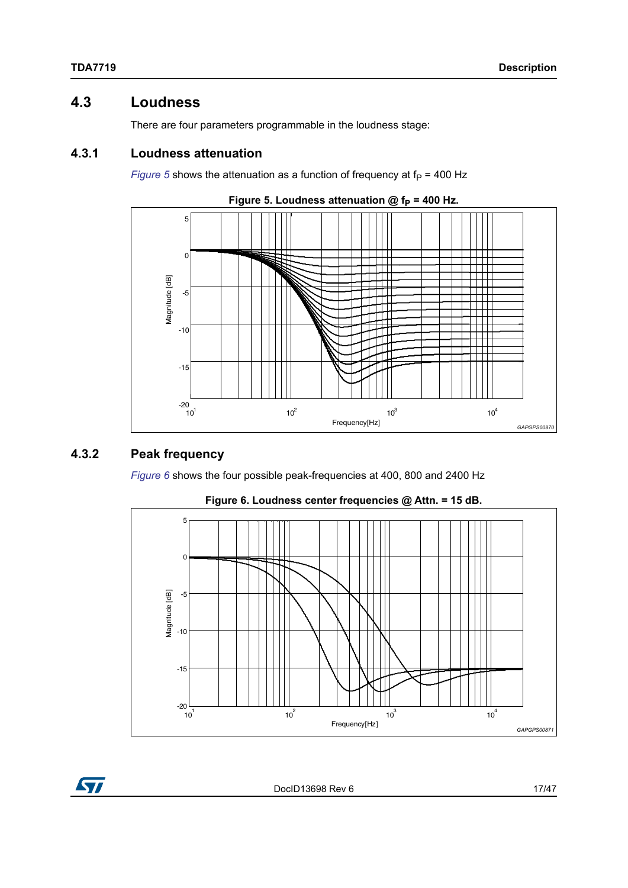## <span id="page-16-0"></span>**4.3 Loudness**

There are four parameters programmable in the loudness stage:

#### <span id="page-16-1"></span>**4.3.1 Loudness attenuation**

*[Figure](#page-16-3)* 5 shows the attenuation as a function of frequency at  $f<sub>P</sub> = 400$  Hz

<span id="page-16-3"></span>



#### <span id="page-16-2"></span>**4.3.2 Peak frequency**

*[Figure](#page-16-4) 6* shows the four possible peak-frequencies at 400, 800 and 2400 Hz

<span id="page-16-4"></span>

**Figure 6. Loudness center frequencies @ Attn. = 15 dB.**



DocID13698 Rev 6 17/[47](#page-46-0)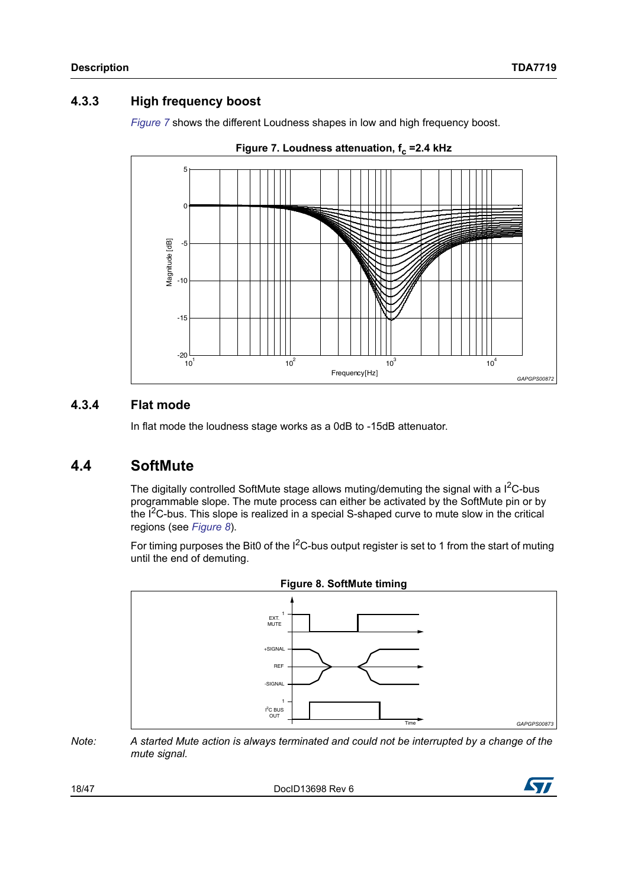#### <span id="page-17-0"></span>**4.3.3 High frequency boost**

*[Figure](#page-17-3) 7* shows the different Loudness shapes in low and high frequency boost.

<span id="page-17-3"></span>

**Figure 7. Loudness attenuation, f<sub>c</sub> =2.4 kHz** 

#### <span id="page-17-1"></span>**4.3.4 Flat mode**

In flat mode the loudness stage works as a 0dB to -15dB attenuator.

## <span id="page-17-2"></span>**4.4 SoftMute**

The digitally controlled SoftMute stage allows muting/demuting the signal with a  $I^2C$ -bus programmable slope. The mute process can either be activated by the SoftMute pin or by the  $I<sup>2</sup>C-bus$ . This slope is realized in a special S-shaped curve to mute slow in the critical regions (see *[Figure](#page-17-4) 8*).

For timing purposes the Bit0 of the  $I^2C$ -bus output register is set to 1 from the start of muting until the end of demuting.

<span id="page-17-4"></span>

*Note: A started Mute action is always terminated and could not be interrupted by a change of the mute signal.*

18/[47](#page-46-0) DocID13698 Rev 6

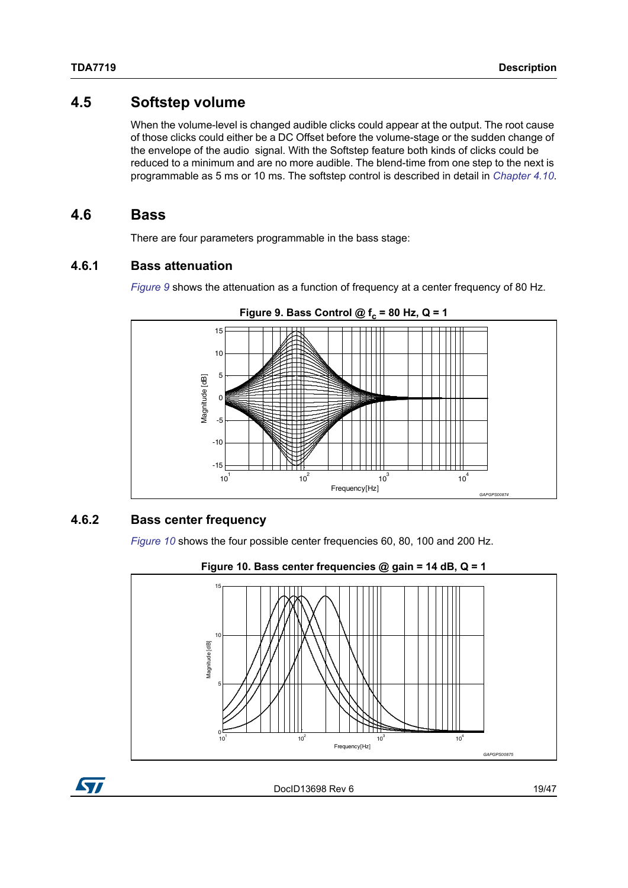### <span id="page-18-0"></span>**4.5 Softstep volume**

When the volume-level is changed audible clicks could appear at the output. The root cause of those clicks could either be a DC Offset before the volume-stage or the sudden change of the envelope of the audio signal. With the Softstep feature both kinds of clicks could be reduced to a minimum and are no more audible. The blend-time from one step to the next is programmable as 5 ms or 10 ms. The softstep control is described in detail in *[Chapter](#page-23-0) 4.10*.

#### <span id="page-18-1"></span>**4.6 Bass**

There are four parameters programmable in the bass stage:

#### <span id="page-18-2"></span>**4.6.1 Bass attenuation**

*[Figure](#page-18-4) 9* shows the attenuation as a function of frequency at a center frequency of 80 Hz.

<span id="page-18-4"></span>

#### Figure 9. Bass Control  $@f_c = 80$  Hz,  $Q = 1$

#### <span id="page-18-3"></span>**4.6.2 Bass center frequency**

*[Figure](#page-18-5) 10* shows the four possible center frequencies 60, 80, 100 and 200 Hz.

<span id="page-18-5"></span>



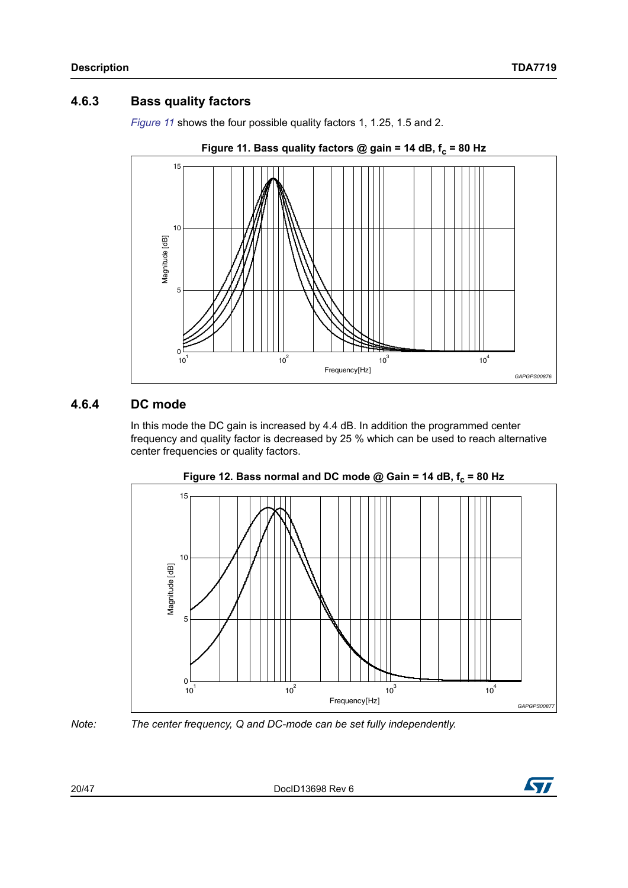#### <span id="page-19-0"></span>**4.6.3 Bass quality factors**

*[Figure](#page-19-2) 11* shows the four possible quality factors 1, 1.25, 1.5 and 2.

<span id="page-19-2"></span>

#### <span id="page-19-1"></span>**4.6.4 DC mode**

In this mode the DC gain is increased by 4.4 dB. In addition the programmed center frequency and quality factor is decreased by 25 % which can be used to reach alternative center frequencies or quality factors.

<span id="page-19-3"></span>



*Note: The center frequency, Q and DC-mode can be set fully independently.*

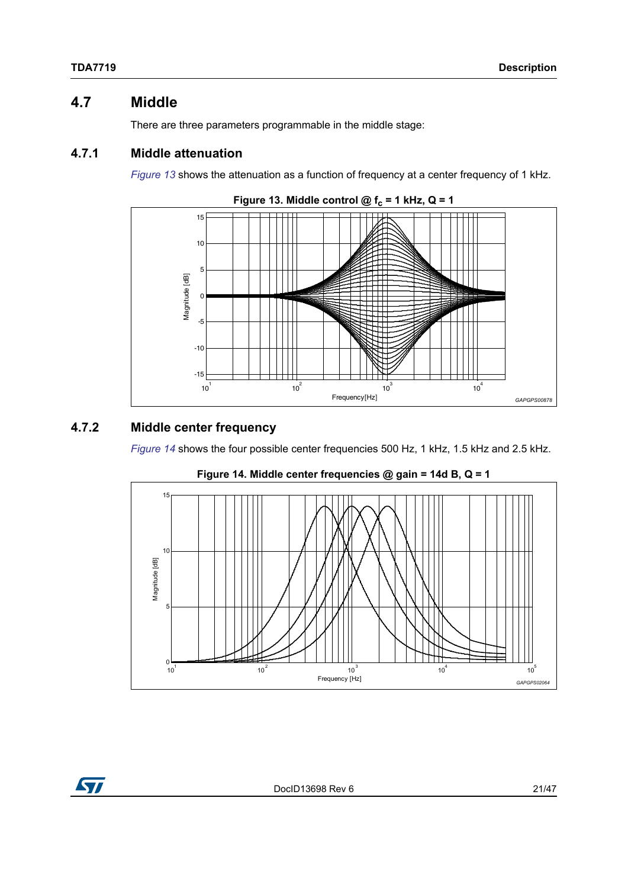## <span id="page-20-0"></span>**4.7 Middle**

There are three parameters programmable in the middle stage:

#### <span id="page-20-1"></span>**4.7.1 Middle attenuation**

*[Figure](#page-20-3) 13* shows the attenuation as a function of frequency at a center frequency of 1 kHz.

<span id="page-20-3"></span>

#### <span id="page-20-2"></span>**4.7.2 Middle center frequency**

*[Figure](#page-20-4) 14* shows the four possible center frequencies 500 Hz, 1 kHz, 1.5 kHz and 2.5 kHz.

<span id="page-20-4"></span>



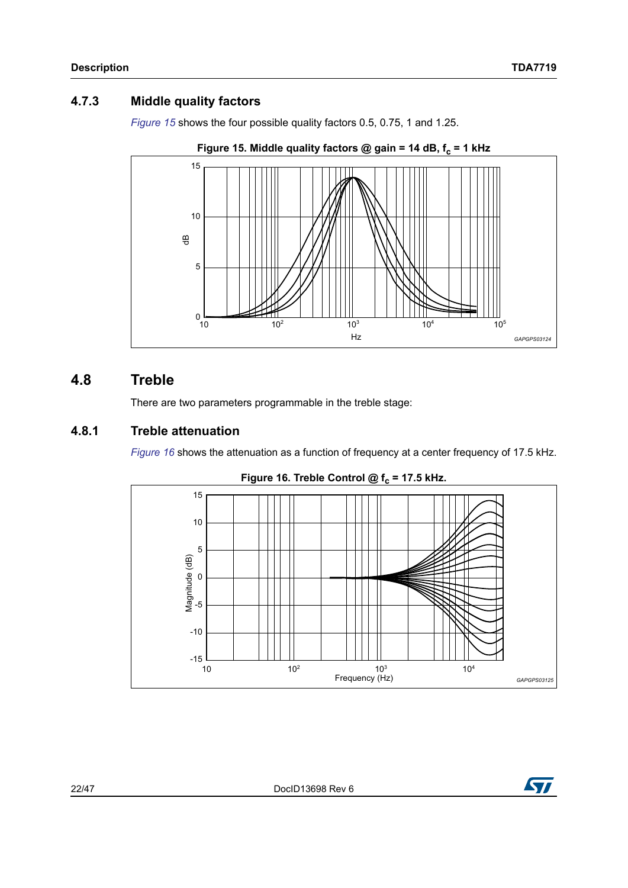### <span id="page-21-0"></span>**4.7.3 Middle quality factors**

*[Figure](#page-21-3) 15* shows the four possible quality factors 0.5, 0.75, 1 and 1.25.

<span id="page-21-3"></span>

## <span id="page-21-1"></span>**4.8 Treble**

There are two parameters programmable in the treble stage:

#### <span id="page-21-2"></span>**4.8.1 Treble attenuation**

*[Figure](#page-21-4) 16* shows the attenuation as a function of frequency at a center frequency of 17.5 kHz.

<span id="page-21-4"></span>

#### Figure 16. Treble Control  $@f_c = 17.5$  kHz.

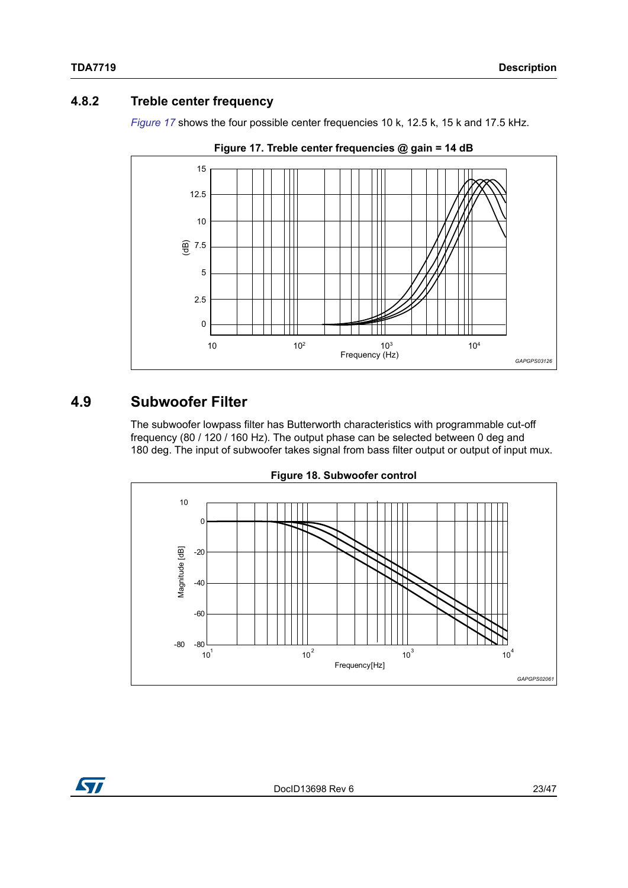#### <span id="page-22-0"></span>**4.8.2 Treble center frequency**

*[Figure](#page-22-2) 17* shows the four possible center frequencies 10 k, 12.5 k, 15 k and 17.5 kHz.

<span id="page-22-2"></span>

**Figure 17. Treble center frequencies @ gain = 14 dB**

## <span id="page-22-1"></span>**4.9 Subwoofer Filter**

The subwoofer lowpass filter has Butterworth characteristics with programmable cut-off frequency (80 / 120 / 160 Hz). The output phase can be selected between 0 deg and 180 deg. The input of subwoofer takes signal from bass filter output or output of input mux.

<span id="page-22-3"></span>

**Figure 18. Subwoofer control**

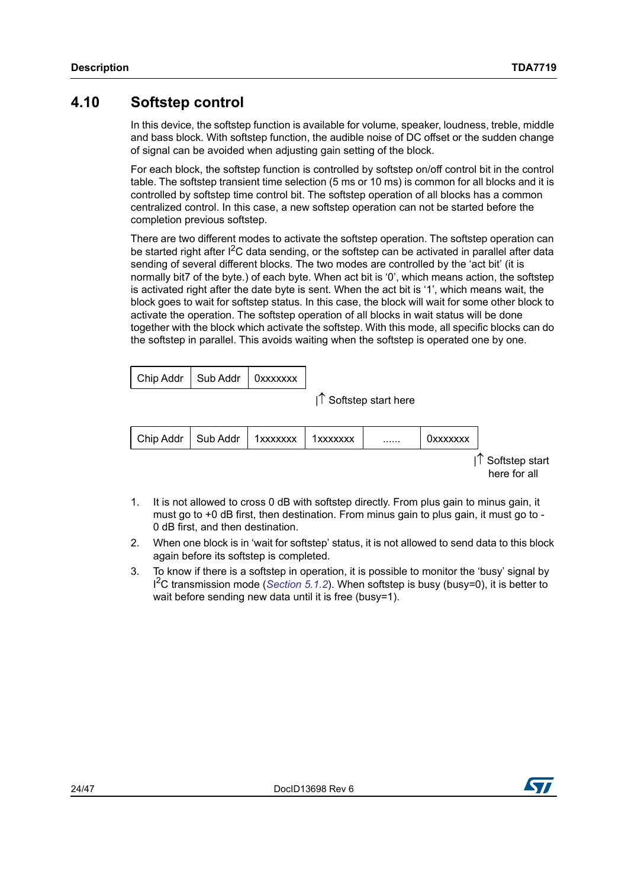### <span id="page-23-0"></span>**4.10 Softstep control**

In this device, the softstep function is available for volume, speaker, loudness, treble, middle and bass block. With softstep function, the audible noise of DC offset or the sudden change of signal can be avoided when adjusting gain setting of the block.

For each block, the softstep function is controlled by softstep on/off control bit in the control table. The softstep transient time selection (5 ms or 10 ms) is common for all blocks and it is controlled by softstep time control bit. The softstep operation of all blocks has a common centralized control. In this case, a new softstep operation can not be started before the completion previous softstep.

There are two different modes to activate the softstep operation. The softstep operation can be started right after I<sup>2</sup>C data sending, or the softstep can be activated in parallel after data sending of several different blocks. The two modes are controlled by the 'act bit' (it is normally bit7 of the byte.) of each byte. When act bit is '0', which means action, the softstep is activated right after the date byte is sent. When the act bit is '1', which means wait, the block goes to wait for softstep status. In this case, the block will wait for some other block to activate the operation. The softstep operation of all blocks in wait status will be done together with the block which activate the softstep. With this mode, all specific blocks can do the softstep in parallel. This avoids waiting when the softstep is operated one by one.

| Chip Addr   Sub Addr   0xxxxxxx |  |
|---------------------------------|--|
|                                 |  |

 $1<sup>^</sup>$  Softstep start here



- 1. It is not allowed to cross 0 dB with softstep directly. From plus gain to minus gain, it must go to +0 dB first, then destination. From minus gain to plus gain, it must go to - 0 dB first, and then destination.
- 2. When one block is in 'wait for softstep' status, it is not allowed to send data to this block again before its softstep is completed.
- 3. To know if there is a softstep in operation, it is possible to monitor the 'busy' signal by I 2C transmission mode (*[Section](#page-28-1) 5.1.2*). When softstep is busy (busy=0), it is better to wait before sending new data until it is free (busy=1).

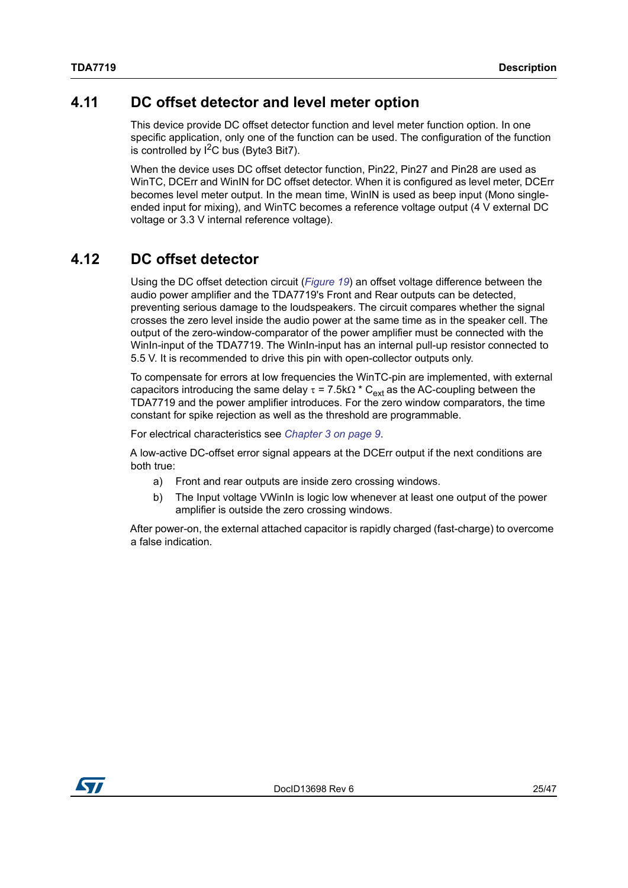## <span id="page-24-0"></span>**4.11 DC offset detector and level meter option**

This device provide DC offset detector function and level meter function option. In one specific application, only one of the function can be used. The configuration of the function is controlled by  $I^2C$  bus (Byte3 Bit7).

When the device uses DC offset detector function, Pin22, Pin27 and Pin28 are used as WinTC, DCErr and WinIN for DC offset detector. When it is configured as level meter, DCErr becomes level meter output. In the mean time, WinIN is used as beep input (Mono singleended input for mixing), and WinTC becomes a reference voltage output (4 V external DC voltage or 3.3 V internal reference voltage).

## <span id="page-24-1"></span>**4.12 DC offset detector**

Using the DC offset detection circuit (*[Figure](#page-25-3) 19*) an offset voltage difference between the audio power amplifier and the TDA7719's Front and Rear outputs can be detected, preventing serious damage to the loudspeakers. The circuit compares whether the signal crosses the zero level inside the audio power at the same time as in the speaker cell. The output of the zero-window-comparator of the power amplifier must be connected with the WinIn-input of the TDA7719. The WinIn-input has an internal pull-up resistor connected to 5.5 V. It is recommended to drive this pin with open-collector outputs only.

To compensate for errors at low frequencies the WinTC-pin are implemented, with external capacitors introducing the same delay  $\tau$  = 7.5k $\Omega$  \* C<sub>ext</sub> as the AC-coupling between the TDA7719 and the power amplifier introduces. For the zero window comparators, the time constant for spike rejection as well as the threshold are programmable.

For electrical characteristics see *Chapter [3 on page](#page-8-0) 9*.

A low-active DC-offset error signal appears at the DCErr output if the next conditions are both true:

- a) Front and rear outputs are inside zero crossing windows.
- b) The Input voltage VWinIn is logic low whenever at least one output of the power amplifier is outside the zero crossing windows.

After power-on, the external attached capacitor is rapidly charged (fast-charge) to overcome a false indication.

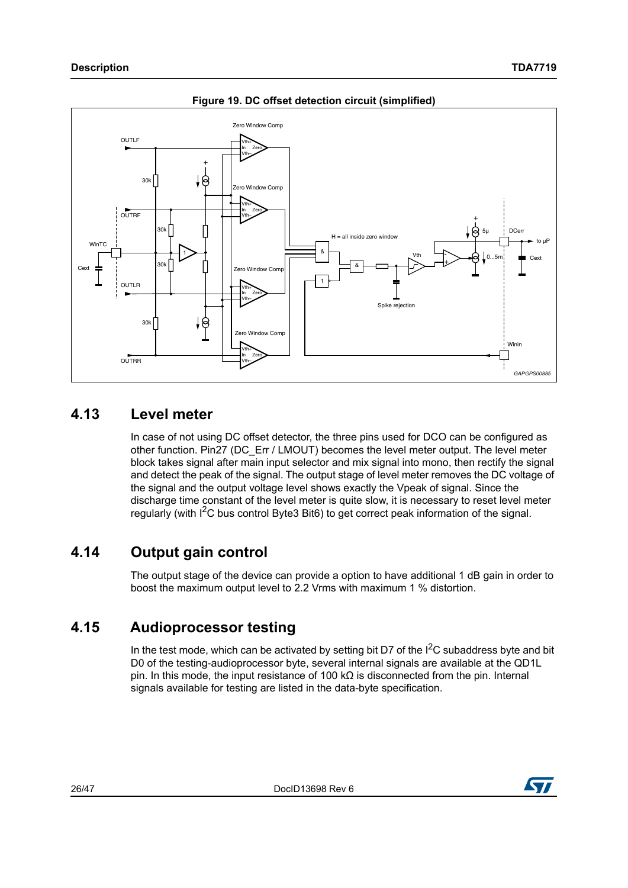<span id="page-25-3"></span>

**Figure 19. DC offset detection circuit (simplified)**

## <span id="page-25-0"></span>**4.13 Level meter**

In case of not using DC offset detector, the three pins used for DCO can be configured as other function. Pin27 (DC\_Err / LMOUT) becomes the level meter output. The level meter block takes signal after main input selector and mix signal into mono, then rectify the signal and detect the peak of the signal. The output stage of level meter removes the DC voltage of the signal and the output voltage level shows exactly the Vpeak of signal. Since the discharge time constant of the level meter is quite slow, it is necessary to reset level meter regularly (with I<sup>2</sup>C bus control Byte3 Bit6) to get correct peak information of the signal.

## <span id="page-25-1"></span>**4.14 Output gain control**

The output stage of the device can provide a option to have additional 1 dB gain in order to boost the maximum output level to 2.2 Vrms with maximum 1 % distortion.

## <span id="page-25-2"></span>**4.15 Audioprocessor testing**

In the test mode, which can be activated by setting bit D7 of the  $I^2C$  subaddress byte and bit D0 of the testing-audioprocessor byte, several internal signals are available at the QD1L pin. In this mode, the input resistance of 100 k $\Omega$  is disconnected from the pin. Internal signals available for testing are listed in the data-byte specification.

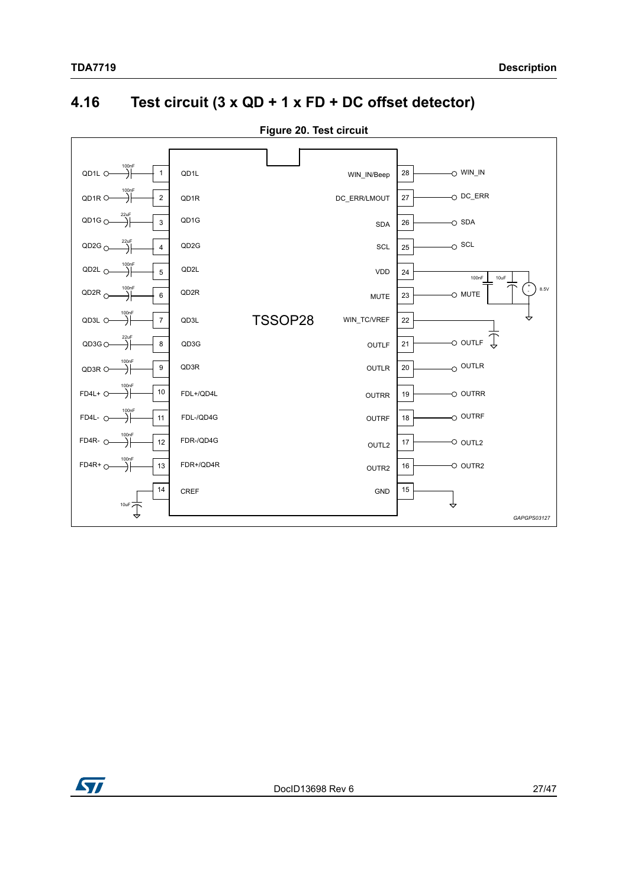## <span id="page-26-0"></span>**4.16 Test circuit (3 x QD + 1 x FD + DC offset detector)**

<span id="page-26-1"></span>

**Figure 20. Test circuit**

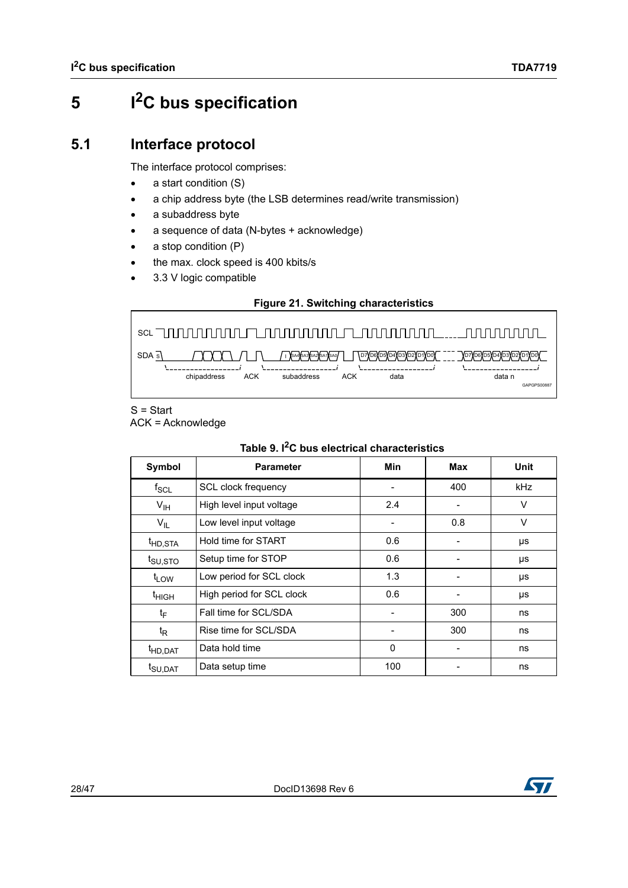# <span id="page-27-0"></span>**5 I2C bus specification**

## <span id="page-27-1"></span>**5.1 Interface protocol**

The interface protocol comprises:

- $\bullet$  a start condition  $(S)$
- a chip address byte (the LSB determines read/write transmission)
- a subaddress byte
- a sequence of data (N-bytes + acknowledge)
- a stop condition (P)
- the max. clock speed is 400 kbits/s
- 3.3 V logic compatible

#### **Figure 21. Switching characteristics**

<span id="page-27-3"></span>

S = Start ACK = Acknowledge

<span id="page-27-2"></span>

|                     | Table 9. FC bus electrical characteristics |     |     |      |  |  |  |  |  |  |  |  |  |
|---------------------|--------------------------------------------|-----|-----|------|--|--|--|--|--|--|--|--|--|
| Symbol              | <b>Parameter</b>                           | Min | Max | Unit |  |  |  |  |  |  |  |  |  |
| $f_{\rm SCL}$       | SCL clock frequency                        |     | 400 | kHz  |  |  |  |  |  |  |  |  |  |
| $V_{\text{IH}}$     | High level input voltage                   | 2.4 |     | V    |  |  |  |  |  |  |  |  |  |
| $V_{IL}$            | Low level input voltage                    |     | 0.8 | V    |  |  |  |  |  |  |  |  |  |
| <sup>t</sup> HD,STA | Hold time for START                        | 0.6 |     | μs   |  |  |  |  |  |  |  |  |  |
| t <sub>SU,STO</sub> | Setup time for STOP                        | 0.6 |     | μs   |  |  |  |  |  |  |  |  |  |
| t <sub>LOW</sub>    | Low period for SCL clock                   | 1.3 |     | μs   |  |  |  |  |  |  |  |  |  |
| t <sub>HIGH</sub>   | High period for SCL clock                  | 0.6 |     | μs   |  |  |  |  |  |  |  |  |  |
| tF                  | Fall time for SCL/SDA                      |     | 300 | ns   |  |  |  |  |  |  |  |  |  |
| $t_{\mathsf{R}}$    | Rise time for SCL/SDA                      |     | 300 | ns   |  |  |  |  |  |  |  |  |  |
| <sup>t</sup> HD,DAT | Data hold time                             | 0   |     | ns   |  |  |  |  |  |  |  |  |  |

 $t_{\text{SU,DAT}}$  Data setup time 100 - ns

#### **Table 9. I2C bus electrical characteristics**

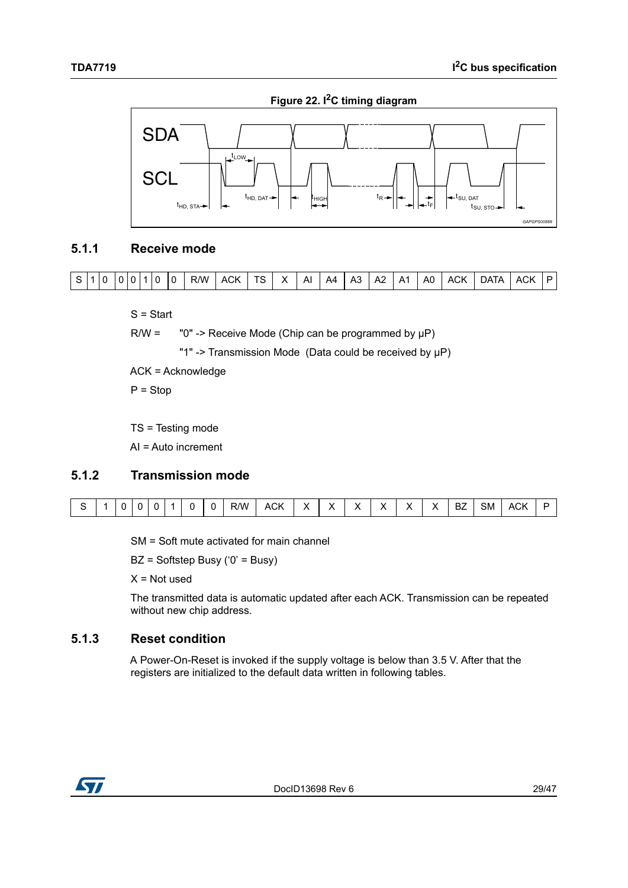**Figure 22. I2C timing diagram**

<span id="page-28-3"></span>

#### <span id="page-28-0"></span>**5.1.1 Receive mode**



S = Start

 $R/W =$  "0" -> Receive Mode (Chip can be programmed by  $\mu P$ )

"1" -> Transmission Mode (Data could be received by μP)

ACK = Acknowledge

 $P =$ Stop

TS = Testing mode

AI = Auto increment

#### <span id="page-28-1"></span>**5.1.2 Transmission mode**

|  | $\sim$ | $\sim$ |  | $-$ | א∧י | $\sim$<br>$\mathbf{A}$<br>. г<br>_______ | $\cdot$<br>$\overline{\phantom{a}}$ | v<br>́ | v<br>́ | $\lambda$<br>́ | <b>.</b><br>Λ | . . | --<br>5M | $\mathbf{v}$<br>. .<br>$\sim$ $\sim$ |  |
|--|--------|--------|--|-----|-----|------------------------------------------|-------------------------------------|--------|--------|----------------|---------------|-----|----------|--------------------------------------|--|

SM = Soft mute activated for main channel

BZ = Softstep Busy ('0' = Busy)

 $X = Not used$ 

The transmitted data is automatic updated after each ACK. Transmission can be repeated without new chip address.

#### <span id="page-28-2"></span>**5.1.3 Reset condition**

A Power-On-Reset is invoked if the supply voltage is below than 3.5 V. After that the registers are initialized to the default data written in following tables.

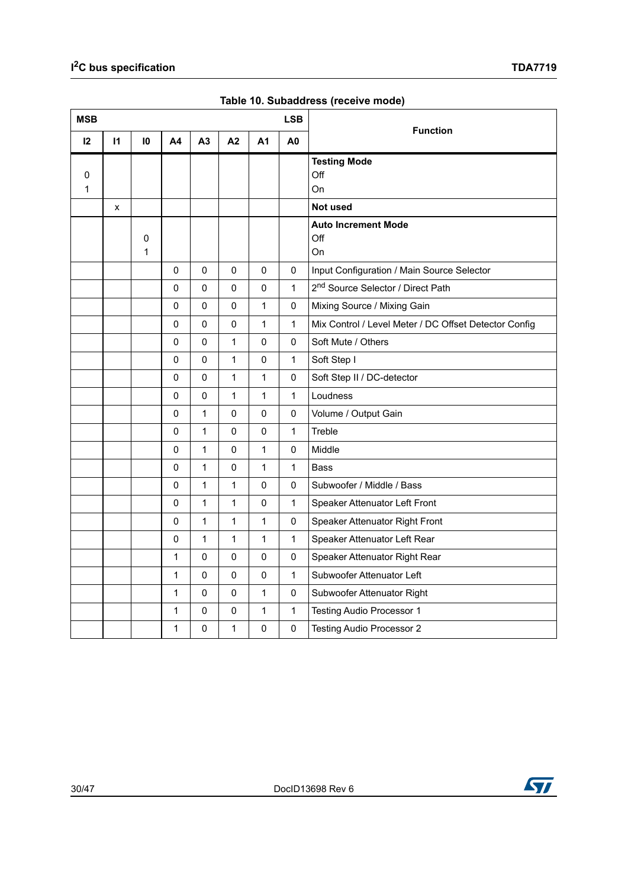<span id="page-29-0"></span>

| <b>MSB</b> |              |                   |                |              |              |                | <b>LSB</b>     |                                                       |
|------------|--------------|-------------------|----------------|--------------|--------------|----------------|----------------|-------------------------------------------------------|
| 12         | $\mathsf{I}$ | 10                | A <sub>4</sub> | A3           | A2           | A <sub>1</sub> | A <sub>0</sub> | <b>Function</b>                                       |
| 0<br>1     |              |                   |                |              |              |                |                | <b>Testing Mode</b><br>Off<br>On                      |
|            | X            |                   |                |              |              |                |                | Not used                                              |
|            |              | 0<br>$\mathbf{1}$ |                |              |              |                |                | <b>Auto Increment Mode</b><br>Off<br>On               |
|            |              |                   | 0              | $\mathbf 0$  | 0            | $\mathbf 0$    | $\mathbf 0$    | Input Configuration / Main Source Selector            |
|            |              |                   | 0              | $\pmb{0}$    | 0            | $\pmb{0}$      | $\mathbf{1}$   | 2 <sup>nd</sup> Source Selector / Direct Path         |
|            |              |                   | 0              | 0            | 0            | 1              | 0              | Mixing Source / Mixing Gain                           |
|            |              |                   | 0              | 0            | 0            | 1              | $\mathbf{1}$   | Mix Control / Level Meter / DC Offset Detector Config |
|            |              |                   | 0              | 0            | 1            | 0              | 0              | Soft Mute / Others                                    |
|            |              |                   | 0              | $\mathsf 0$  | 1            | $\pmb{0}$      | $\mathbf{1}$   | Soft Step I                                           |
|            |              |                   | 0              | $\pmb{0}$    | 1            | 1              | $\pmb{0}$      | Soft Step II / DC-detector                            |
|            |              |                   | 0              | 0            | $\mathbf{1}$ | 1              | $\mathbf{1}$   | Loudness                                              |
|            |              |                   | 0              | $\mathbf{1}$ | 0            | 0              | 0              | Volume / Output Gain                                  |
|            |              |                   | 0              | $\mathbf{1}$ | $\Omega$     | $\mathbf 0$    | $\mathbf{1}$   | Treble                                                |
|            |              |                   | 0              | $\mathbf{1}$ | 0            | 1              | 0              | Middle                                                |
|            |              |                   | 0              | $\mathbf{1}$ | $\Omega$     | 1              | $\mathbf{1}$   | <b>Bass</b>                                           |
|            |              |                   | 0              | $\mathbf{1}$ | $\mathbf{1}$ | 0              | 0              | Subwoofer / Middle / Bass                             |
|            |              |                   | $\mathbf 0$    | $\mathbf{1}$ | 1            | $\mathbf 0$    | $\mathbf{1}$   | Speaker Attenuator Left Front                         |
|            |              |                   | $\pmb{0}$      | 1            | 1            | 1              | $\pmb{0}$      | Speaker Attenuator Right Front                        |
|            |              |                   | $\pmb{0}$      | $\mathbf 1$  | $\mathbf{1}$ | $\mathbf{1}$   | $\mathbf{1}$   | Speaker Attenuator Left Rear                          |
|            |              |                   | $\mathbf 1$    | 0            | 0            | $\pmb{0}$      | $\pmb{0}$      | Speaker Attenuator Right Rear                         |
|            |              |                   | 1              | 0            | $\Omega$     | $\mathbf 0$    | $\mathbf{1}$   | Subwoofer Attenuator Left                             |
|            |              |                   | 1              | $\pmb{0}$    | 0            | 1              | 0              | Subwoofer Attenuator Right                            |
|            |              |                   | 1              | 0            | 0            | 1              | $\mathbf{1}$   | Testing Audio Processor 1                             |
|            |              |                   | 1              | 0            | 1            | 0              | $\pmb{0}$      | Testing Audio Processor 2                             |

**Table 10. Subaddress (receive mode)**



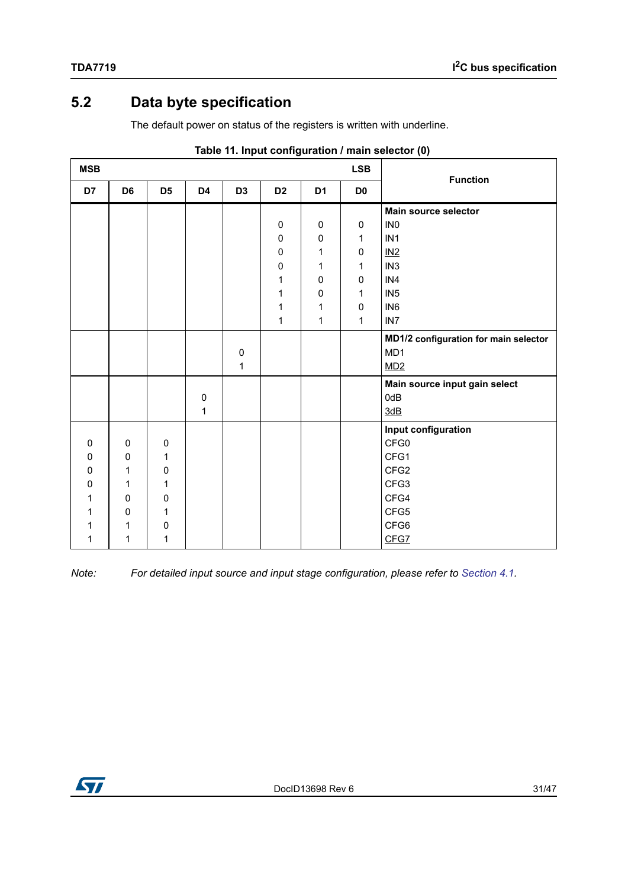## <span id="page-30-0"></span>**5.2 Data byte specification**

The default power on status of the registers is written with underline.

<span id="page-30-1"></span>

| <b>MSB</b>   |                |                |                |                |                |                | <b>LSB</b>     | <b>Function</b>                       |
|--------------|----------------|----------------|----------------|----------------|----------------|----------------|----------------|---------------------------------------|
| D7           | D <sub>6</sub> | D <sub>5</sub> | D <sub>4</sub> | D <sub>3</sub> | D <sub>2</sub> | D <sub>1</sub> | D <sub>0</sub> |                                       |
|              |                |                |                |                |                |                |                | Main source selector                  |
|              |                |                |                |                | $\pmb{0}$      | $\pmb{0}$      | 0              | IN <sub>0</sub>                       |
|              |                |                |                |                | 0              | 0              | 1              | IN <sub>1</sub>                       |
|              |                |                |                |                | $\pmb{0}$      | 1              | $\pmb{0}$      | $IN2$                                 |
|              |                |                |                |                | $\pmb{0}$      | 1              | 1              | IN <sub>3</sub>                       |
|              |                |                |                |                | 1              | 0              | 0              | IN4                                   |
|              |                |                |                |                | $\mathbf 1$    | $\pmb{0}$      | 1              | IN <sub>5</sub>                       |
|              |                |                |                |                | 1              | 1              | 0              | IN <sub>6</sub>                       |
|              |                |                |                |                | 1              | 1              | 1              | IN <sub>7</sub>                       |
|              |                |                |                |                |                |                |                | MD1/2 configuration for main selector |
|              |                |                |                | $\pmb{0}$      |                |                |                | MD1                                   |
|              |                |                |                | $\mathbf 1$    |                |                |                | MD2                                   |
|              |                |                |                |                |                |                |                | Main source input gain select         |
|              |                |                | $\pmb{0}$      |                |                |                |                | 0dB                                   |
|              |                |                | 1              |                |                |                |                | 3dB                                   |
|              |                |                |                |                |                |                |                | Input configuration                   |
| $\mathbf{0}$ | 0              | $\mathbf 0$    |                |                |                |                |                | CFG0                                  |
| $\Omega$     | $\mathbf 0$    | 1              |                |                |                |                |                | CFG1                                  |
| 0            | $\mathbf{1}$   | 0              |                |                |                |                |                | CFG2                                  |
| 0            | 1              | 1              |                |                |                |                |                | CFG3                                  |
| 1            | $\mathbf 0$    | 0              |                |                |                |                |                | CFG4                                  |
|              | $\pmb{0}$      | 1              |                |                |                |                |                | CFG5                                  |
|              | 1              | 0              |                |                |                |                |                | CFG6                                  |
| 1            | 1              | 1              |                |                |                |                |                | CFG7                                  |

|  |  | Table 11. Input configuration / main selector (0) |  |  |  |  |
|--|--|---------------------------------------------------|--|--|--|--|
|--|--|---------------------------------------------------|--|--|--|--|

*Note: For detailed input source and input stage configuration, please refer to [Section](#page-12-1) 4.1.*

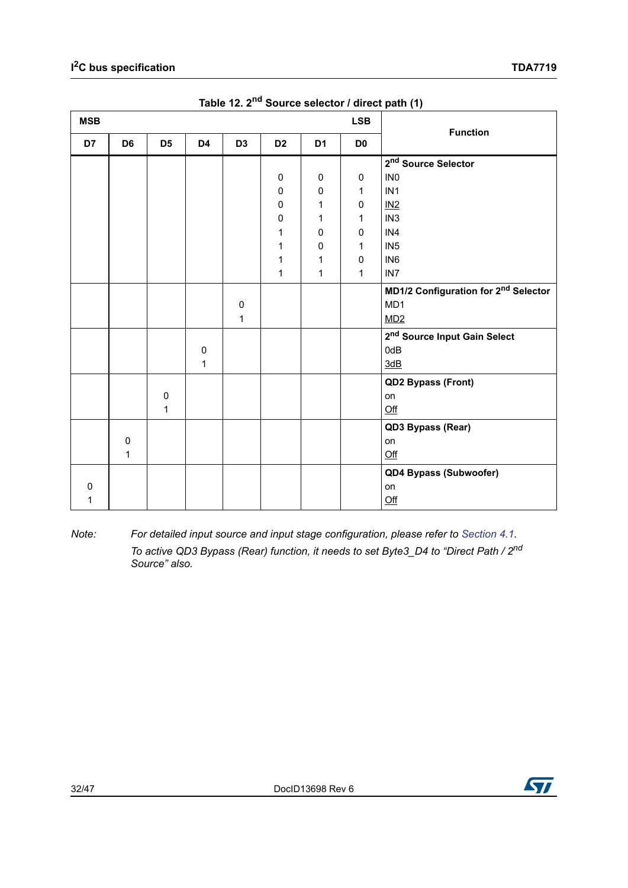<span id="page-31-0"></span>

| <b>MSB</b> |                |                |           |                |                |                | <b>LSB</b>     | $\cdot$ $\cdot$<br><b>Function</b>               |
|------------|----------------|----------------|-----------|----------------|----------------|----------------|----------------|--------------------------------------------------|
| D7         | D <sub>6</sub> | D <sub>5</sub> | D4        | D <sub>3</sub> | D <sub>2</sub> | D <sub>1</sub> | D <sub>0</sub> |                                                  |
|            |                |                |           |                |                |                |                | 2 <sup>nd</sup> Source Selector                  |
|            |                |                |           |                | 0              | $\mathbf 0$    | $\mathbf 0$    | IN <sub>0</sub>                                  |
|            |                |                |           |                | 0              | 0              | 1              | IN <sub>1</sub>                                  |
|            |                |                |           |                | 0              | 1              | 0              | IN2                                              |
|            |                |                |           |                | $\pmb{0}$      | 1              | 1              | IN <sub>3</sub>                                  |
|            |                |                |           |                | 1              | 0              | 0              | IN4                                              |
|            |                |                |           |                | 1              | 0              | 1              | IN <sub>5</sub>                                  |
|            |                |                |           |                | 1              | 1              | 0              | IN <sub>6</sub>                                  |
|            |                |                |           |                | 1              | 1              | 1              | IN <sub>7</sub>                                  |
|            |                |                |           |                |                |                |                | MD1/2 Configuration for 2 <sup>nd</sup> Selector |
|            |                |                |           | 0              |                |                |                | MD1                                              |
|            |                |                |           | 1              |                |                |                | MD2                                              |
|            |                |                |           |                |                |                |                | 2 <sup>nd</sup> Source Input Gain Select         |
|            |                |                | $\pmb{0}$ |                |                |                |                | 0dB                                              |
|            |                |                | 1         |                |                |                |                | 3dB                                              |
|            |                |                |           |                |                |                |                | QD2 Bypass (Front)                               |
|            |                | $\pmb{0}$      |           |                |                |                |                | on                                               |
|            |                | $\mathbf 1$    |           |                |                |                |                | Qff                                              |
|            |                |                |           |                |                |                |                | QD3 Bypass (Rear)                                |
|            | $\pmb{0}$      |                |           |                |                |                |                | on                                               |
|            | 1              |                |           |                |                |                |                | Qff                                              |
|            |                |                |           |                |                |                |                | QD4 Bypass (Subwoofer)                           |
| 0          |                |                |           |                |                |                |                | on                                               |
| 1          |                |                |           |                |                |                |                | $Off$                                            |

**Table 12. 2nd Source selector / direct path (1)** 

*Note: For detailed input source and input stage configuration, please refer to [Section](#page-12-1) 4.1. To active QD3 Bypass (Rear) function, it needs to set Byte3\_D4 to "Direct Path / 2nd Source" also.*

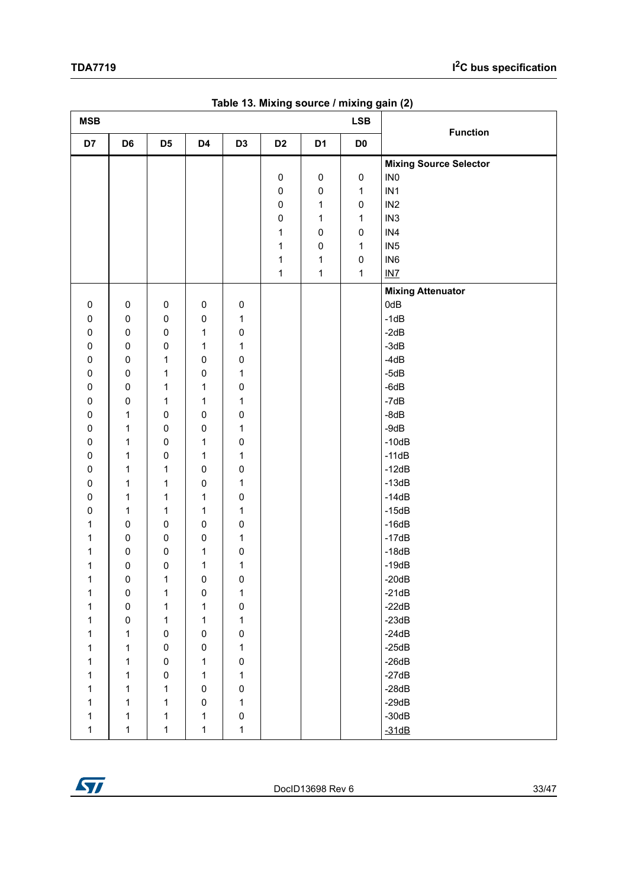<span id="page-32-0"></span>

| <b>MSB</b>   |                |                |           |                |                |                | <b>LSB</b>          |                                                  |
|--------------|----------------|----------------|-----------|----------------|----------------|----------------|---------------------|--------------------------------------------------|
| D7           | D <sub>6</sub> | D <sub>5</sub> | D4        | D <sub>3</sub> | D <sub>2</sub> | D <sub>1</sub> | D <sub>0</sub>      | <b>Function</b>                                  |
|              |                |                |           |                | $\pmb{0}$      | $\pmb{0}$      | $\mathsf{O}\xspace$ | <b>Mixing Source Selector</b><br>IN <sub>0</sub> |
|              |                |                |           |                | $\pmb{0}$      | $\mathbf 0$    | $\mathbf 1$         | IN <sub>1</sub>                                  |
|              |                |                |           |                | $\pmb{0}$      | $\mathbf{1}$   | 0                   | IN <sub>2</sub>                                  |
|              |                |                |           |                | $\pmb{0}$      | 1              | 1                   | IN <sub>3</sub>                                  |
|              |                |                |           |                | 1              | $\pmb{0}$      | 0                   | IN4                                              |
|              |                |                |           |                | 1              | $\pmb{0}$      | 1                   | IN <sub>5</sub>                                  |
|              |                |                |           |                | 1              | 1              | 0                   | IN <sub>6</sub>                                  |
|              |                |                |           |                | $\mathbf 1$    | $\mathbf{1}$   | $\mathbf 1$         | $INZ$                                            |
|              |                |                |           |                |                |                |                     | <b>Mixing Attenuator</b>                         |
| 0            | $\pmb{0}$      | $\pmb{0}$      | $\pmb{0}$ | $\pmb{0}$      |                |                |                     | 0dB                                              |
| 0            | 0              | $\pmb{0}$      | $\pmb{0}$ | 1              |                |                |                     | $-1dB$                                           |
| 0            | $\pmb{0}$      | $\pmb{0}$      | 1         | $\pmb{0}$      |                |                |                     | $-2dB$                                           |
| 0            | 0              | $\pmb{0}$      | 1         | 1              |                |                |                     | $-3dB$                                           |
| 0            | 0              | 1              | 0         | $\pmb{0}$      |                |                |                     | $-4dB$                                           |
| 0            | $\pmb{0}$      | 1              | 0         | 1              |                |                |                     | $-5dB$                                           |
| 0            | $\pmb{0}$      | 1              | 1         | $\pmb{0}$      |                |                |                     | $-6dB$                                           |
| 0            | $\pmb{0}$      | $\mathbf 1$    | 1         | 1              |                |                |                     | $-7dB$                                           |
| 0            | 1              | $\pmb{0}$      | 0         | 0              |                |                |                     | $-8dB$                                           |
| 0            | 1              | $\pmb{0}$      | $\pmb{0}$ | 1              |                |                |                     | $-9dB$                                           |
| 0            | 1              | $\pmb{0}$      | 1         | $\pmb{0}$      |                |                |                     | $-10dB$                                          |
| 0            | 1              | $\pmb{0}$      | 1         | 1              |                |                |                     | $-11dB$                                          |
| 0            | 1              | 1              | $\pmb{0}$ | 0              |                |                |                     | $-12dB$                                          |
| 0            | $\mathbf{1}$   | 1              | 0         | 1              |                |                |                     | $-13dB$                                          |
| 0            | 1              | 1              | 1         | 0              |                |                |                     | $-14dB$                                          |
| 0            | 1              | 1              | 1         | 1              |                |                |                     | $-15dB$                                          |
| 1            | 0              | $\pmb{0}$      | 0         | $\pmb{0}$      |                |                |                     | $-16dB$                                          |
| 1            | $\pmb{0}$      | $\pmb{0}$      | 0         | 1              |                |                |                     | $-17dB$                                          |
| 1            | $\pmb{0}$      | $\pmb{0}$      | 1         | $\pmb{0}$      |                |                |                     | $-18dB$                                          |
| 1            | 0              | $\pmb{0}$      | 1         | 1              |                |                |                     | $-19dB$                                          |
| $\mathbf{1}$ | 0              | 1              | 0         | $\mathbf 0$    |                |                |                     | $-20dB$                                          |
| $\mathbf{1}$ | $\pmb{0}$      | $\mathbf 1$    | $\pmb{0}$ | 1              |                |                |                     | $-21dB$                                          |
| 1            | $\mathsf 0$    | $\mathbf 1$    | 1         | $\pmb{0}$      |                |                |                     | $-22dB$                                          |
| 1            | $\mathsf 0$    | $\mathbf{1}$   | 1         | $\mathbf 1$    |                |                |                     | $-23dB$                                          |
| 1            | $\mathbf{1}$   | $\pmb{0}$      | $\pmb{0}$ | $\pmb{0}$      |                |                |                     | $-24dB$                                          |
| 1            | 1              | $\pmb{0}$      | $\pmb{0}$ | 1              |                |                |                     | $-25dB$                                          |
| 1            | 1              | 0              | 1         | 0              |                |                |                     | $-26dB$                                          |
| 1            | 1              | $\pmb{0}$      | 1         | 1              |                |                |                     | $-27dB$                                          |
| 1            | 1              | 1              | 0         | $\pmb{0}$      |                |                |                     | $-28dB$                                          |
| 1            | $\mathbf{1}$   | $\mathbf{1}$   | $\pmb{0}$ | 1              |                |                |                     | $-29dB$                                          |
| 1            | $\mathbf{1}$   | 1              | 1         | $\pmb{0}$      |                |                |                     | $-30dB$                                          |
| 1            | $\mathbf{1}$   | $\mathbf 1$    | 1         | 1              |                |                |                     | $-31dB$                                          |

**Table 13. Mixing source / mixing gain (2)**

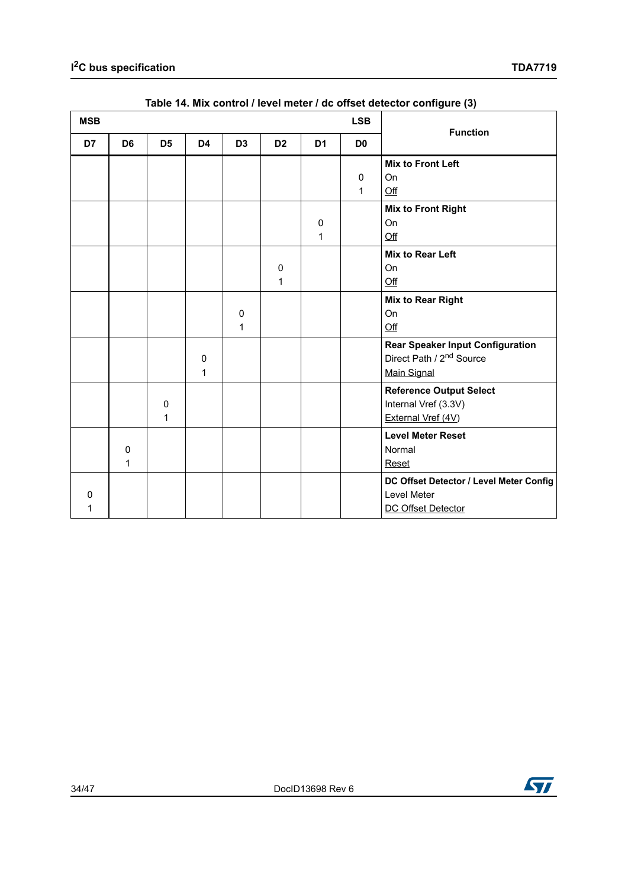<span id="page-33-0"></span>

| <b>MSB</b> |                             |                  |        |                |                | <b>LSB</b>     | <b>Function</b>   |                                                                                                |
|------------|-----------------------------|------------------|--------|----------------|----------------|----------------|-------------------|------------------------------------------------------------------------------------------------|
| D7         | D <sub>6</sub>              | D <sub>5</sub>   | D4     | D <sub>3</sub> | D <sub>2</sub> | D <sub>1</sub> | D <sub>0</sub>    |                                                                                                |
|            |                             |                  |        |                |                |                | $\mathbf{0}$<br>1 | <b>Mix to Front Left</b><br>On<br>Off                                                          |
|            |                             |                  |        |                |                | 0<br>1         |                   | <b>Mix to Front Right</b><br>On<br>Qff                                                         |
|            |                             |                  |        |                | 0<br>1         |                |                   | <b>Mix to Rear Left</b><br><b>On</b><br>Qff                                                    |
|            |                             |                  |        | 0<br>1         |                |                |                   | <b>Mix to Rear Right</b><br>On<br>$Off$                                                        |
|            |                             |                  | 0<br>1 |                |                |                |                   | <b>Rear Speaker Input Configuration</b><br>Direct Path / 2 <sup>nd</sup> Source<br>Main Signal |
|            |                             | $\mathbf 0$<br>1 |        |                |                |                |                   | <b>Reference Output Select</b><br>Internal Vref (3.3V)<br>External Vref (4V)                   |
|            | $\mathbf 0$<br>$\mathbf{1}$ |                  |        |                |                |                |                   | <b>Level Meter Reset</b><br>Normal<br>Reset                                                    |
| O<br>1     |                             |                  |        |                |                |                |                   | DC Offset Detector / Level Meter Config<br>Level Meter<br>DC Offset Detector                   |

#### **Table 14. Mix control / level meter / dc offset detector configure (3)**

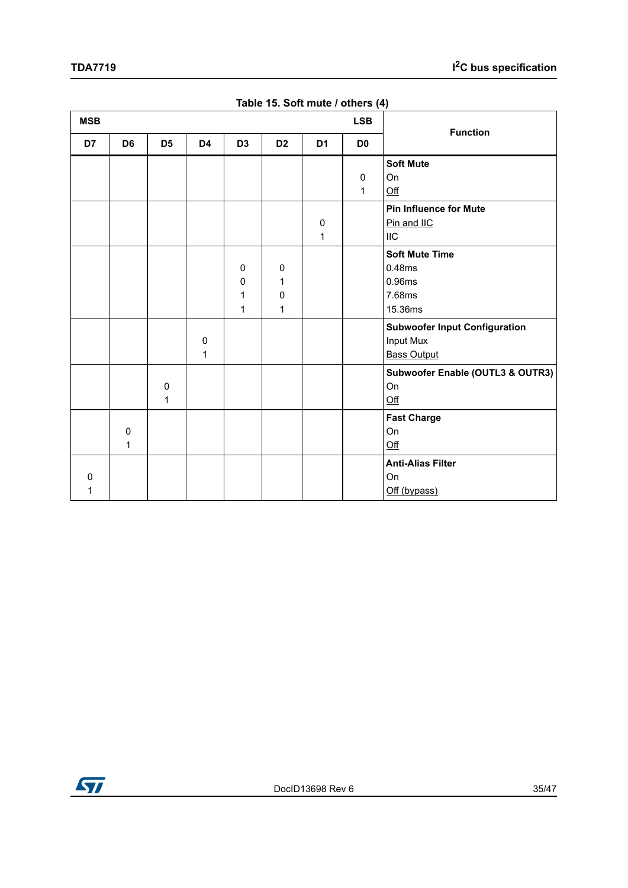<span id="page-34-0"></span>

| <b>MSB</b> |                |                  |                |                  |                            |                | <b>LSB</b>                  | <b>Function</b>                                                                |
|------------|----------------|------------------|----------------|------------------|----------------------------|----------------|-----------------------------|--------------------------------------------------------------------------------|
| D7         | D <sub>6</sub> | D <sub>5</sub>   | D <sub>4</sub> | D <sub>3</sub>   | D <sub>2</sub>             | D <sub>1</sub> | D <sub>0</sub>              |                                                                                |
|            |                |                  |                |                  |                            |                | $\mathbf 0$<br>$\mathbf{1}$ | <b>Soft Mute</b><br>On<br>Qff                                                  |
|            |                |                  |                |                  |                            | 0<br>1         |                             | <b>Pin Influence for Mute</b><br>Pin and IIC<br><b>IIC</b>                     |
|            |                |                  |                | 0<br>0<br>1<br>1 | $\mathbf 0$<br>1<br>0<br>1 |                |                             | <b>Soft Mute Time</b><br>0.48ms<br>0.96ms<br>7.68ms<br>15.36ms                 |
|            |                |                  | 0<br>1         |                  |                            |                |                             | <b>Subwoofer Input Configuration</b><br><b>Input Mux</b><br><b>Bass Output</b> |
|            |                | $\mathbf 0$<br>1 |                |                  |                            |                |                             | Subwoofer Enable (OUTL3 & OUTR3)<br>On<br>Qff                                  |
|            | $\pmb{0}$<br>1 |                  |                |                  |                            |                |                             | <b>Fast Charge</b><br>On<br>$\underline{\text{Off}}$                           |
| 0<br>1     |                |                  |                |                  |                            |                |                             | <b>Anti-Alias Filter</b><br>On<br>Off (bypass)                                 |

**Table 15. Soft mute / others (4)**

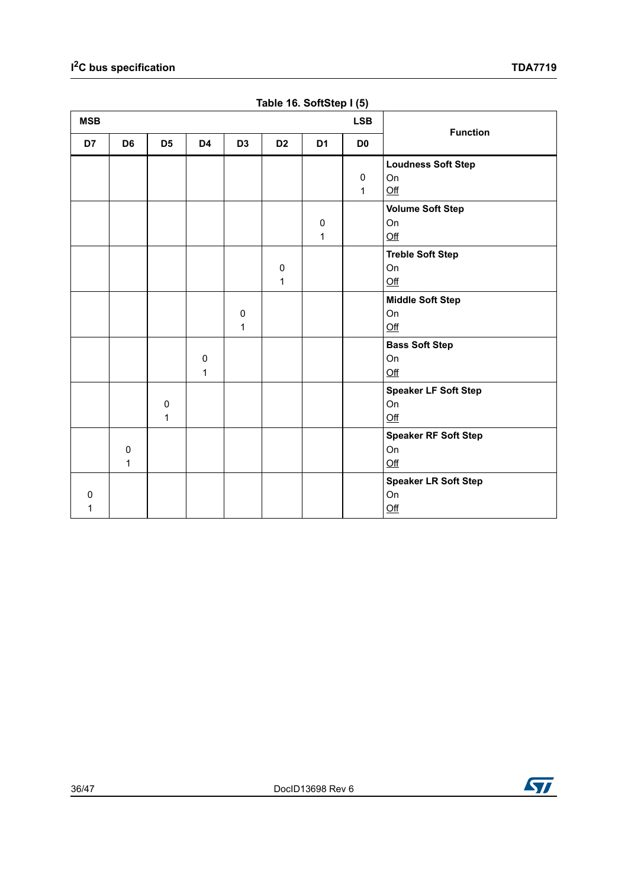<span id="page-35-0"></span>

| <b>MSB</b> | <b>LSB</b>     |                |              |                |                |                |                |                             |
|------------|----------------|----------------|--------------|----------------|----------------|----------------|----------------|-----------------------------|
| D7         | D <sub>6</sub> | D <sub>5</sub> | D4           | D <sub>3</sub> | D <sub>2</sub> | D <sub>1</sub> | D <sub>0</sub> | <b>Function</b>             |
|            |                |                |              |                |                |                |                | <b>Loudness Soft Step</b>   |
|            |                |                |              |                |                |                | $\mathsf 0$    | On                          |
|            |                |                |              |                |                |                | $\mathbf{1}$   | Qff                         |
|            |                |                |              |                |                |                |                | <b>Volume Soft Step</b>     |
|            |                |                |              |                |                | $\pmb{0}$      |                | On                          |
|            |                |                |              |                |                | $\mathbf 1$    |                | Qff                         |
|            |                |                |              |                |                |                |                | <b>Treble Soft Step</b>     |
|            |                |                |              |                | $\pmb{0}$      |                |                | On                          |
|            |                |                |              |                | $\mathbf{1}$   |                |                | $Off$                       |
|            |                |                |              |                |                |                |                | <b>Middle Soft Step</b>     |
|            |                |                |              | 0              |                |                |                | On                          |
|            |                |                |              | 1              |                |                |                | Qff                         |
|            |                |                |              |                |                |                |                | <b>Bass Soft Step</b>       |
|            |                |                | $\pmb{0}$    |                |                |                |                | On                          |
|            |                |                | $\mathbf{1}$ |                |                |                |                | Off                         |
|            |                |                |              |                |                |                |                | <b>Speaker LF Soft Step</b> |
|            |                | $\pmb{0}$      |              |                |                |                |                | On                          |
|            |                | 1              |              |                |                |                |                | Qff                         |
|            |                |                |              |                |                |                |                | <b>Speaker RF Soft Step</b> |
|            | $\mathbf 0$    |                |              |                |                |                |                | On                          |
|            | 1              |                |              |                |                |                |                | $\underline{\text{Off}}$    |
|            |                |                |              |                |                |                |                | <b>Speaker LR Soft Step</b> |
| $\Omega$   |                |                |              |                |                |                |                | On                          |
| 1          |                |                |              |                |                |                |                | $Off$                       |

**Table 16. SoftStep I (5)**

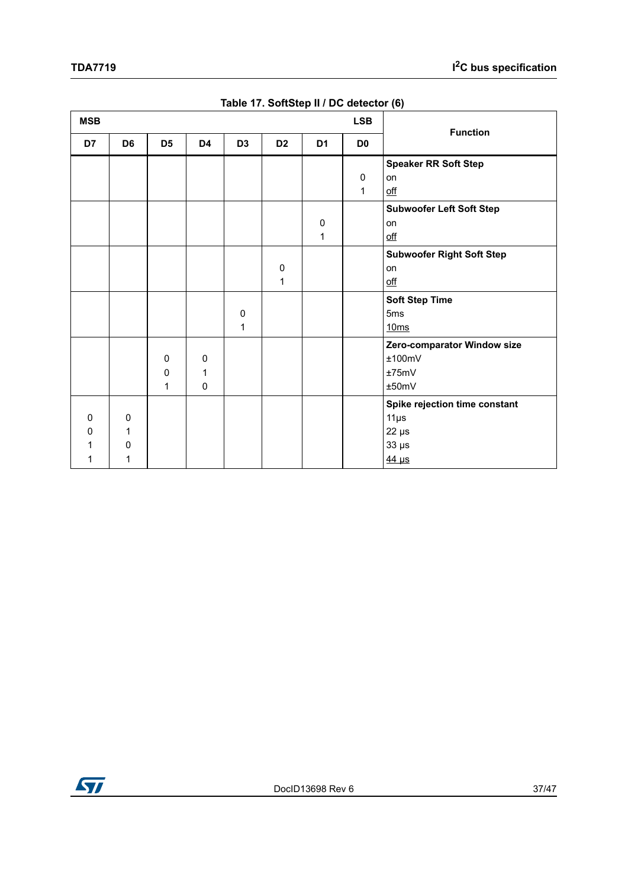<span id="page-36-0"></span>

| <b>MSB</b> |                |                |                |                |                |                | <b>LSB</b>     |                                  |
|------------|----------------|----------------|----------------|----------------|----------------|----------------|----------------|----------------------------------|
| D7         | D <sub>6</sub> | D <sub>5</sub> | D <sub>4</sub> | D <sub>3</sub> | D <sub>2</sub> | D <sub>1</sub> | D <sub>0</sub> | <b>Function</b>                  |
|            |                |                |                |                |                |                |                | <b>Speaker RR Soft Step</b>      |
|            |                |                |                |                |                |                | $\mathbf 0$    | on                               |
|            |                |                |                |                |                |                | $\mathbf{1}$   | $\underline{\text{off}}$         |
|            |                |                |                |                |                |                |                | <b>Subwoofer Left Soft Step</b>  |
|            |                |                |                |                |                | 0              |                | on                               |
|            |                |                |                |                |                | 1              |                | $\underline{\text{off}}$         |
|            |                |                |                |                |                |                |                | <b>Subwoofer Right Soft Step</b> |
|            |                |                |                |                | 0              |                |                | on                               |
|            |                |                |                |                | 1              |                |                | $\underline{\text{off}}$         |
|            |                |                |                |                |                |                |                | <b>Soft Step Time</b>            |
|            |                |                |                | 0              |                |                |                | 5 <sub>ms</sub>                  |
|            |                |                |                | 1              |                |                |                | 10ms                             |
|            |                |                |                |                |                |                |                | Zero-comparator Window size      |
|            |                | 0              | 0              |                |                |                |                | ±100mV                           |
|            |                | 0              | 1              |                |                |                |                | ±75mV                            |
|            |                | 1              | $\pmb{0}$      |                |                |                |                | ±50mV                            |
|            |                |                |                |                |                |                |                | Spike rejection time constant    |
| $\Omega$   | 0              |                |                |                |                |                |                | $11\mu s$                        |
| 0          | 1              |                |                |                |                |                |                | $22 \mu s$                       |
| 1          | $\Omega$       |                |                |                |                |                |                | $33 \mu s$                       |
| 1          | 1              |                |                |                |                |                |                | $44 \mu s$                       |

#### **Table 17. SoftStep II / DC detector (6)**

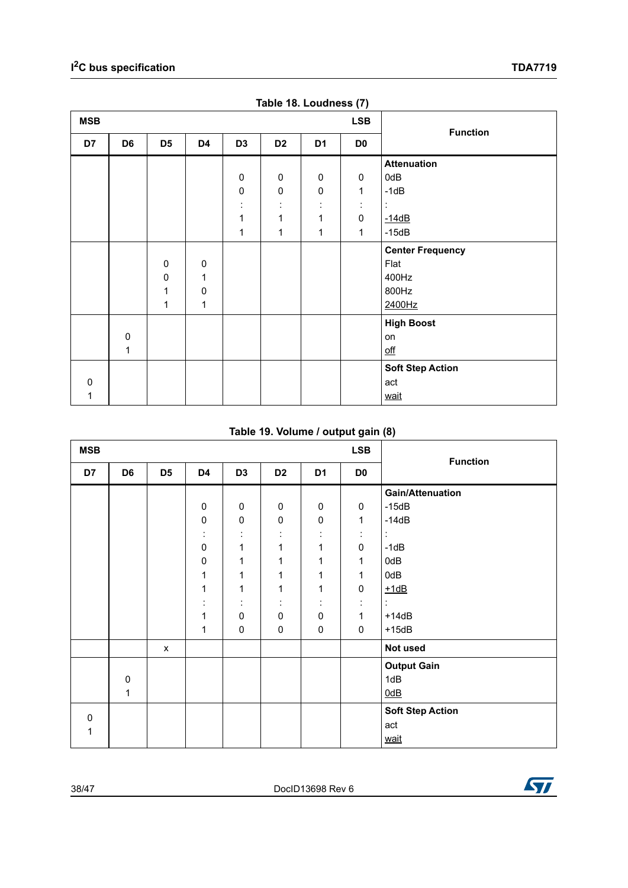<span id="page-37-0"></span>

| <b>MSB</b> |                |                |              |                |                     |                     | $\sim$ $\sim$ $\sim$ $\sim$ $\sim$ $\sim$<br><b>LSB</b> |                          |
|------------|----------------|----------------|--------------|----------------|---------------------|---------------------|---------------------------------------------------------|--------------------------|
| D7         | D <sub>6</sub> | D <sub>5</sub> | D4           | D <sub>3</sub> | D <sub>2</sub>      | D <sub>1</sub>      | D <sub>0</sub>                                          | <b>Function</b>          |
|            |                |                |              |                |                     |                     |                                                         | <b>Attenuation</b>       |
|            |                |                |              | $\pmb{0}$      | $\pmb{0}$           | $\pmb{0}$           | $\pmb{0}$                                               | 0dB                      |
|            |                |                |              | $\pmb{0}$      | $\pmb{0}$           | $\pmb{0}$           | 1                                                       | $-1dB$                   |
|            |                |                |              | ٠<br>$\cdot$   | ٠<br>$\blacksquare$ | ٠<br>$\blacksquare$ | ÷                                                       | ÷                        |
|            |                |                |              | 1              | 1                   | 1                   | $\pmb{0}$                                               | $-14dB$                  |
|            |                |                |              | 1              | $\mathbf{1}$        | 1                   | 1                                                       | $-15dB$                  |
|            |                |                |              |                |                     |                     |                                                         | <b>Center Frequency</b>  |
|            |                | $\pmb{0}$      | 0            |                |                     |                     |                                                         | Flat                     |
|            |                | $\pmb{0}$      | 1            |                |                     |                     |                                                         | 400Hz                    |
|            |                | 1              | $\pmb{0}$    |                |                     |                     |                                                         | 800Hz                    |
|            |                | 1              | $\mathbf{1}$ |                |                     |                     |                                                         | 2400Hz                   |
|            |                |                |              |                |                     |                     |                                                         | <b>High Boost</b>        |
|            | $\pmb{0}$      |                |              |                |                     |                     |                                                         | on                       |
|            | 1              |                |              |                |                     |                     |                                                         | $\underline{\text{off}}$ |
|            |                |                |              |                |                     |                     |                                                         | <b>Soft Step Action</b>  |
| 0          |                |                |              |                |                     |                     |                                                         | act                      |
| 1          |                |                |              |                |                     |                     |                                                         | wait                     |

**Table 18. Loudness (7)**

#### **Table 19. Volume / output gain (8)**

<span id="page-37-1"></span>

| <b>MSB</b>  |                |                |                     |                     |                     |                | <b>LSB</b>     | $\cdot$ $\cdot$<br><b>Function</b> |
|-------------|----------------|----------------|---------------------|---------------------|---------------------|----------------|----------------|------------------------------------|
| D7          | D <sub>6</sub> | D <sub>5</sub> | D <sub>4</sub>      | D <sub>3</sub>      | D <sub>2</sub>      | D <sub>1</sub> | D <sub>0</sub> |                                    |
|             |                |                |                     |                     |                     |                |                | <b>Gain/Attenuation</b>            |
|             |                |                | $\pmb{0}$           | 0                   | $\pmb{0}$           | $\pmb{0}$      | $\pmb{0}$      | $-15dB$                            |
|             |                |                | $\pmb{0}$           | $\pmb{0}$           | $\mathsf 0$         | $\pmb{0}$      | 1              | $-14dB$                            |
|             |                |                | ÷                   | ٠<br>$\blacksquare$ | t                   | ÷              | t              | ÷                                  |
|             |                |                | $\pmb{0}$           | 1                   | 1                   | $\mathbf{1}$   | $\pmb{0}$      | $-1dB$                             |
|             |                |                | $\pmb{0}$           | 1                   | 1                   | 1              | 1              | 0dB                                |
|             |                |                | 1                   | 1                   | 1                   | 1              | 1              | 0dB                                |
|             |                |                | 1                   | 1                   | 1                   | 1              | $\pmb{0}$      | $+1dB$                             |
|             |                |                | ٠<br>$\blacksquare$ | ٠<br>$\blacksquare$ | ٠<br>$\blacksquare$ | ÷              | ÷              | ÷                                  |
|             |                |                | 1                   | $\pmb{0}$           | $\pmb{0}$           | $\pmb{0}$      | 1              | $+14dB$                            |
|             |                |                | 1                   | $\pmb{0}$           | $\pmb{0}$           | $\pmb{0}$      | $\pmb{0}$      | $+15dB$                            |
|             |                | $\pmb{\chi}$   |                     |                     |                     |                |                | Not used                           |
|             |                |                |                     |                     |                     |                |                | <b>Output Gain</b>                 |
|             | $\pmb{0}$      |                |                     |                     |                     |                |                | 1dB                                |
|             | $\mathbf{1}$   |                |                     |                     |                     |                |                | 0dB                                |
| $\mathbf 0$ |                |                |                     |                     |                     |                |                | <b>Soft Step Action</b>            |
| 1           |                |                |                     |                     |                     |                |                | act                                |
|             |                |                |                     |                     |                     |                |                | wait                               |

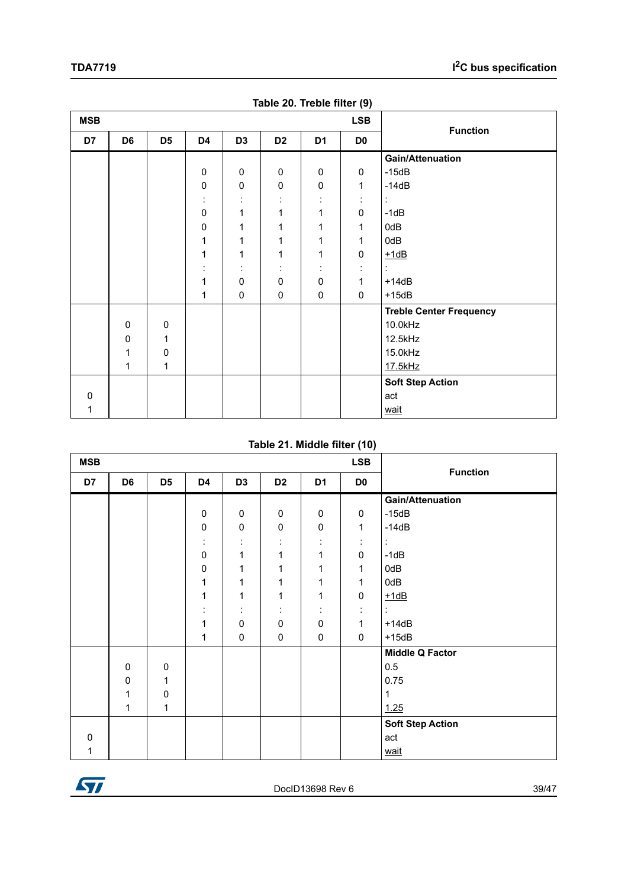<span id="page-38-0"></span>

| <b>MSB</b> |                |                |                    |                     |                     | $\cdots$       | <b>LSB</b>     | <b>Function</b>                |  |
|------------|----------------|----------------|--------------------|---------------------|---------------------|----------------|----------------|--------------------------------|--|
| D7         | D <sub>6</sub> | D <sub>5</sub> | D4                 | D <sub>3</sub>      | D <sub>2</sub>      | D <sub>1</sub> | D <sub>0</sub> |                                |  |
|            |                |                |                    |                     |                     |                |                | <b>Gain/Attenuation</b>        |  |
|            |                |                | 0                  | $\pmb{0}$           | $\pmb{0}$           | $\mathbf 0$    | $\mathbf 0$    | $-15dB$                        |  |
|            |                |                | $\pmb{0}$          | $\pmb{0}$           | $\pmb{0}$           | $\pmb{0}$      | $\mathbf{1}$   | $-14dB$                        |  |
|            |                |                | ÷                  | $\cdot$             | $\blacksquare$      | ÷              | ÷              | ÷                              |  |
|            |                |                | $\pmb{0}$          | 1                   | 1                   | $\mathbf{1}$   | 0              | $-1dB$                         |  |
|            |                |                | $\pmb{0}$          | 1                   | 1                   | 1              | 1              | 0dB                            |  |
|            |                |                | 1                  | 1                   | 1                   | 1              | 1              | 0dB                            |  |
|            |                |                | 1                  | 1                   | 1                   | 1              | $\pmb{0}$      | $+1dB$                         |  |
|            |                |                | $\cdot$<br>$\cdot$ | ٠<br>$\blacksquare$ | ٠<br>$\blacksquare$ | ÷              | ٠<br>$\cdot$   | ÷                              |  |
|            |                |                | 1                  | $\pmb{0}$           | $\pmb{0}$           | $\pmb{0}$      | $\mathbf{1}$   | $+14dB$                        |  |
|            |                |                | 1                  | $\pmb{0}$           | $\pmb{0}$           | $\pmb{0}$      | $\mathbf 0$    | $+15dB$                        |  |
|            |                |                |                    |                     |                     |                |                | <b>Treble Center Frequency</b> |  |
|            | $\mathbf 0$    | 0              |                    |                     |                     |                |                | 10.0kHz                        |  |
|            | $\mathbf 0$    | 1              |                    |                     |                     |                |                | 12.5kHz                        |  |
|            | 1              | $\mathbf 0$    |                    |                     |                     |                |                | 15.0kHz                        |  |
|            | 1              | $\mathbf 1$    |                    |                     |                     |                |                | 17.5kHz                        |  |
|            |                |                |                    |                     |                     |                |                | <b>Soft Step Action</b>        |  |
| $\Omega$   |                |                |                    |                     |                     |                |                | act                            |  |
| 1          |                |                |                    |                     |                     |                |                | wait                           |  |

**Table 20. Treble filter (9)**

#### **Table 21. Middle filter (10)**

<span id="page-38-1"></span>

| <b>MSB</b><br><b>LSB</b> |                |                |                      |                     |                     |                     |                | <b>Function</b>         |
|--------------------------|----------------|----------------|----------------------|---------------------|---------------------|---------------------|----------------|-------------------------|
| D7                       | D <sub>6</sub> | D <sub>5</sub> | D4                   | D <sub>3</sub>      | D <sub>2</sub>      | D <sub>1</sub>      | D <sub>0</sub> |                         |
|                          |                |                |                      |                     |                     |                     |                | <b>Gain/Attenuation</b> |
|                          |                |                | $\pmb{0}$            | 0                   | $\pmb{0}$           | $\pmb{0}$           | $\pmb{0}$      | $-15dB$                 |
|                          |                |                | $\pmb{0}$            | 0                   | $\pmb{0}$           | $\pmb{0}$           | $\mathbf{1}$   | $-14dB$                 |
|                          |                |                | $\ddot{\phantom{a}}$ | ٠<br>$\blacksquare$ | ٠<br>$\blacksquare$ | ٠<br>$\blacksquare$ | ÷              | ÷                       |
|                          |                |                | $\pmb{0}$            | 1                   | 1                   | 1                   | $\pmb{0}$      | $-1dB$                  |
|                          |                |                | $\mathbf 0$          | 1                   | 1                   | 1                   | $\mathbf{1}$   | 0dB                     |
|                          |                |                | 1                    | 1                   | 1                   | 1                   | $\mathbf{1}$   | 0dB                     |
|                          |                |                | 1                    | 1                   | 1                   | 1                   | $\pmb{0}$      | $+1dB$                  |
|                          |                |                | ٠<br>$\blacksquare$  | ٠<br>$\blacksquare$ | ٠<br>$\blacksquare$ | ٠<br>$\bullet$      | ÷              | ÷                       |
|                          |                |                | 1                    | 0                   | 0                   | $\mathbf 0$         | $\mathbf{1}$   | $+14dB$                 |
|                          |                |                | 1                    | 0                   | $\pmb{0}$           | $\mathbf 0$         | 0              | $+15dB$                 |
|                          |                |                |                      |                     |                     |                     |                | <b>Middle Q Factor</b>  |
|                          | $\pmb{0}$      | 0              |                      |                     |                     |                     |                | 0.5                     |
|                          | 0              | 1              |                      |                     |                     |                     |                | 0.75                    |
|                          | 1              | 0              |                      |                     |                     |                     |                | 1                       |
|                          | 1              | 1              |                      |                     |                     |                     |                | 1.25                    |
|                          |                |                |                      |                     |                     |                     |                | <b>Soft Step Action</b> |
| $\Omega$                 |                |                |                      |                     |                     |                     |                | act                     |
|                          |                |                |                      |                     |                     |                     |                | wait                    |

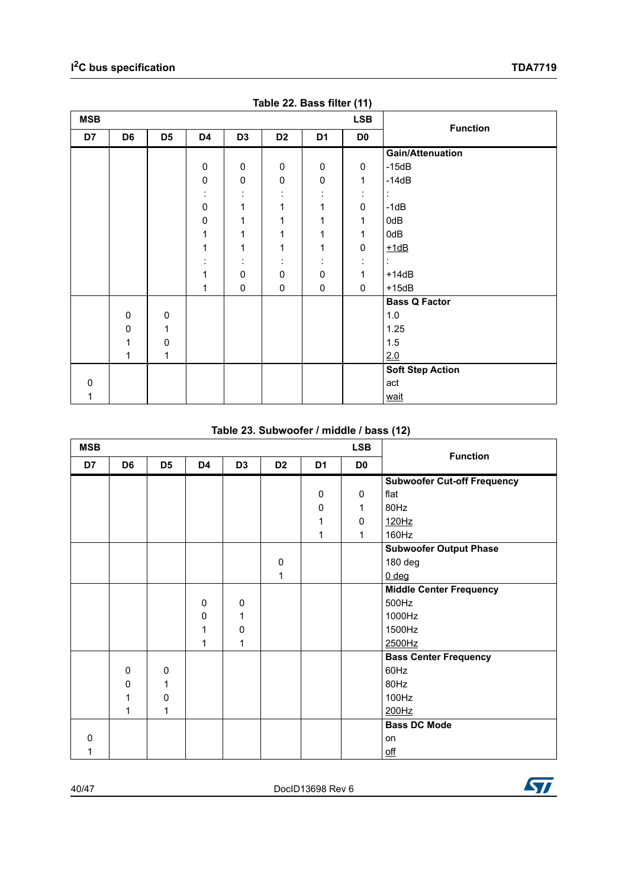<span id="page-39-0"></span>

| <b>MSB</b> |                |                |                           |                |                | --- ----- 1 1  | <b>LSB</b>          | <b>Function</b>         |
|------------|----------------|----------------|---------------------------|----------------|----------------|----------------|---------------------|-------------------------|
| D7         | D <sub>6</sub> | D <sub>5</sub> | D4                        | D <sub>3</sub> | D <sub>2</sub> | D <sub>1</sub> | D <sub>0</sub>      |                         |
|            |                |                |                           |                |                |                |                     | <b>Gain/Attenuation</b> |
|            |                |                | $\pmb{0}$                 | 0              | $\pmb{0}$      | 0              | 0                   | $-15dB$                 |
|            |                |                | $\pmb{0}$                 | $\pmb{0}$      | $\pmb{0}$      | $\pmb{0}$      | 1                   | $-14dB$                 |
|            |                |                | $\cdot$                   |                |                |                | ٠<br>$\blacksquare$ | ÷                       |
|            |                |                | $\pmb{0}$                 | 1              | $\mathbf 1$    | $\mathbf 1$    | $\pmb{0}$           | $-1dB$                  |
|            |                |                | 0                         | 1              | 1              | 1              | 1                   | 0dB                     |
|            |                |                | $\mathbf{1}$              | 1              | 1              | 1              | 1                   | 0dB                     |
|            |                |                | $\mathbf{1}$              | 1              | 1              | 1              | $\pmb{0}$           | $+1dB$                  |
|            |                |                | ٠<br>$\ddot{\phantom{a}}$ | ٠<br>$\cdot$   | ÷              | ÷              | ٠<br>$\bullet$      | $\ddot{\cdot}$          |
|            |                |                | 1                         | 0              | $\pmb{0}$      | $\pmb{0}$      | $\mathbf{1}$        | $+14dB$                 |
|            |                |                | 1                         | $\pmb{0}$      | $\pmb{0}$      | $\pmb{0}$      | $\mathbf 0$         | $+15dB$                 |
|            |                |                |                           |                |                |                |                     | <b>Bass Q Factor</b>    |
|            | $\pmb{0}$      | 0              |                           |                |                |                |                     | 1.0                     |
|            | $\mathbf 0$    | 1              |                           |                |                |                |                     | 1.25                    |
|            | 1              | $\mathbf 0$    |                           |                |                |                |                     | $1.5\,$                 |
|            | 1              | 1              |                           |                |                |                |                     | 2.0                     |
|            |                |                |                           |                |                |                |                     | <b>Soft Step Action</b> |
| 0          |                |                |                           |                |                |                |                     | act                     |
| 1          |                |                |                           |                |                |                |                     | wait                    |

| Table 22. Bass filter (11) |  |  |  |
|----------------------------|--|--|--|
|                            |  |  |  |

#### **Table 23. Subwoofer / middle / bass (12)**

<span id="page-39-1"></span>

| <b>MSB</b> |                |                |    |                | <b>Function</b> |                |                |                                    |
|------------|----------------|----------------|----|----------------|-----------------|----------------|----------------|------------------------------------|
| D7         | D <sub>6</sub> | D <sub>5</sub> | D4 | D <sub>3</sub> | D <sub>2</sub>  | D <sub>1</sub> | D <sub>0</sub> |                                    |
|            |                |                |    |                |                 |                |                | <b>Subwoofer Cut-off Frequency</b> |
|            |                |                |    |                |                 | $\mathbf 0$    | $\mathbf 0$    | flat                               |
|            |                |                |    |                |                 | $\mathbf 0$    | 1              | 80Hz                               |
|            |                |                |    |                |                 | 1              | 0              | 120Hz                              |
|            |                |                |    |                |                 | 1              | 1              | 160Hz                              |
|            |                |                |    |                |                 |                |                | <b>Subwoofer Output Phase</b>      |
|            |                |                |    |                | 0               |                |                | 180 deg                            |
|            |                |                |    |                | 1               |                |                | $0$ deg                            |
|            |                |                |    |                |                 |                |                | <b>Middle Center Frequency</b>     |
|            |                |                | 0  | $\mathbf 0$    |                 |                |                | 500Hz                              |
|            |                |                | 0  | 1              |                 |                |                | 1000Hz                             |
|            |                |                | 1  | 0              |                 |                |                | 1500Hz                             |
|            |                |                | 1  | 1              |                 |                |                | 2500Hz                             |
|            |                |                |    |                |                 |                |                | <b>Bass Center Frequency</b>       |
|            | $\mathbf 0$    | $\mathbf 0$    |    |                |                 |                |                | 60Hz                               |
|            | $\mathbf 0$    | 1              |    |                |                 |                |                | 80Hz                               |
|            | 1              | 0              |    |                |                 |                |                | 100Hz                              |
|            | 1              | 1              |    |                |                 |                |                | 200Hz                              |
|            |                |                |    |                |                 |                |                | <b>Bass DC Mode</b>                |
| $\Omega$   |                |                |    |                |                 |                |                | on                                 |
|            |                |                |    |                |                 |                |                | $\underline{\text{off}}$           |

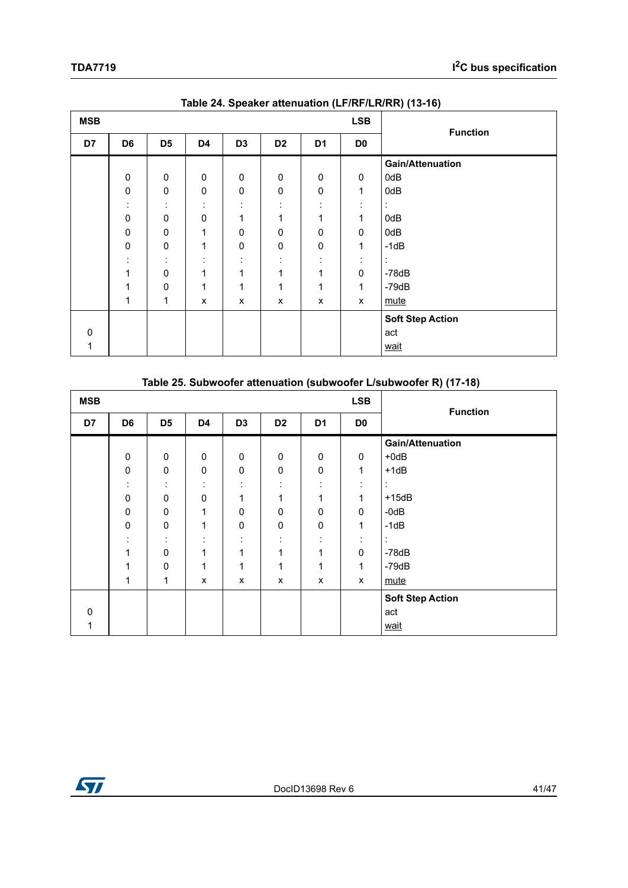<span id="page-40-0"></span>

| <b>MSB</b> |                |                      |                             |                | <b>Function</b> |                     |                     |                         |
|------------|----------------|----------------------|-----------------------------|----------------|-----------------|---------------------|---------------------|-------------------------|
| D7         | D <sub>6</sub> | D <sub>5</sub>       | D4                          | D <sub>3</sub> | D <sub>2</sub>  | D <sub>1</sub>      | D <sub>0</sub>      |                         |
|            |                |                      |                             |                |                 |                     |                     | <b>Gain/Attenuation</b> |
|            | $\mathbf 0$    | $\mathbf 0$          | $\mathbf 0$                 | $\mathbf 0$    | 0               | $\mathbf 0$         | 0                   | 0dB                     |
|            | $\mathbf 0$    | 0                    | $\pmb{0}$                   | $\pmb{0}$      | $\pmb{0}$       | $\pmb{0}$           | 1                   | 0dB                     |
|            | ٠<br>$\bullet$ | $\cdot$<br>$\bullet$ | ٠<br>$\bullet$              | ٠<br>$\bullet$ | ٠<br>٠          | ٠<br>$\blacksquare$ | ٠<br>$\blacksquare$ |                         |
|            | $\mathbf 0$    | $\mathbf 0$          | $\mathbf 0$                 | 1              | 1               | 1                   | 1                   | 0dB                     |
|            | $\mathbf 0$    | $\mathbf 0$          | 1                           | $\mathbf 0$    | 0               | 0                   | 0                   | 0dB                     |
|            | $\mathbf 0$    | $\pmb{0}$            | 1                           | $\pmb{0}$      | $\pmb{0}$       | $\pmb{0}$           | 1                   | $-1dB$                  |
|            | ٠<br>٠.        | ٠<br>$\cdot$         | $\bullet$<br>$\blacksquare$ | ٠<br>$\bullet$ | ٠<br>٠          | ٠                   | ٠                   |                         |
|            | 1              | $\mathbf 0$          | 1                           | 1              | 1               | 1                   | $\mathbf 0$         | $-78dB$                 |
|            | 1              | $\mathbf 0$          | 1                           | 1              | 1               | 1                   | 1                   | $-79dB$                 |
|            | 1              | 1                    | X                           | X              | X               | X                   | X                   | mute                    |
|            |                |                      |                             |                |                 |                     |                     | <b>Soft Step Action</b> |
| 0          |                |                      |                             |                |                 |                     |                     | act                     |
|            |                |                      |                             |                |                 |                     |                     | wait                    |

**Table 24. Speaker attenuation (LF/RF/LR/RR) (13-16)** 

<span id="page-40-1"></span>

|            | Table 20. OUDWOOTER ALLERING (IOR I GUDWOOTER LISUDWOOTER IN THE TOT |                |                |                |                |                |                |                          |  |  |  |  |  |
|------------|----------------------------------------------------------------------|----------------|----------------|----------------|----------------|----------------|----------------|--------------------------|--|--|--|--|--|
| <b>MSB</b> |                                                                      |                |                |                |                |                |                |                          |  |  |  |  |  |
| D7         | D <sub>6</sub>                                                       | D <sub>5</sub> | D <sub>4</sub> | D <sub>3</sub> | D <sub>2</sub> | D <sub>1</sub> | D <sub>0</sub> | <b>Function</b>          |  |  |  |  |  |
|            |                                                                      |                |                |                |                |                |                | <b>Gain/Attenuation</b>  |  |  |  |  |  |
|            | 0                                                                    | 0              | $\mathbf 0$    | 0              | 0              | 0              | $\mathbf 0$    | $+0$ d $B$               |  |  |  |  |  |
|            | $\mathbf 0$                                                          | 0              | 0              | $\pmb{0}$      | 0              | $\pmb{0}$      | 1              | $+1dB$                   |  |  |  |  |  |
|            | ٠<br>$\bullet$                                                       | ٠              |                |                | ٠<br>٠         |                | ٠              | $\overline{\phantom{a}}$ |  |  |  |  |  |
|            | $\mathbf 0$                                                          | 0              | $\mathbf 0$    | 1              | 1              | 1              | 1              | $+15dB$                  |  |  |  |  |  |
|            | $\Omega$                                                             | 0              | 1              | $\mathbf 0$    | $\mathbf 0$    | 0              | $\mathbf{0}$   | $-0dB$                   |  |  |  |  |  |
|            | $\mathbf 0$                                                          | 0              | 1              | 0              | 0              | 0              | $\mathbf 1$    | $-1dB$                   |  |  |  |  |  |
|            |                                                                      |                |                | ٠              | ٠<br>٠         |                |                |                          |  |  |  |  |  |
|            | 1                                                                    | 0              | 1              | 1              | 1              | 1              | $\mathbf 0$    | $-78dB$                  |  |  |  |  |  |
|            | 1                                                                    | 0              | 1              | 1              | 1              | 1              | 1              | $-79dB$                  |  |  |  |  |  |
|            | 1                                                                    | 1              | X              | X              | X              | X              | x              | mute                     |  |  |  |  |  |
|            |                                                                      |                |                |                |                |                |                | <b>Soft Step Action</b>  |  |  |  |  |  |
| $\Omega$   |                                                                      |                |                |                |                |                |                | act                      |  |  |  |  |  |
|            |                                                                      |                |                |                |                |                |                | wait                     |  |  |  |  |  |

#### **Table 25. Subwoofer attenuation (subwoofer L/subwoofer R) (17-18)**

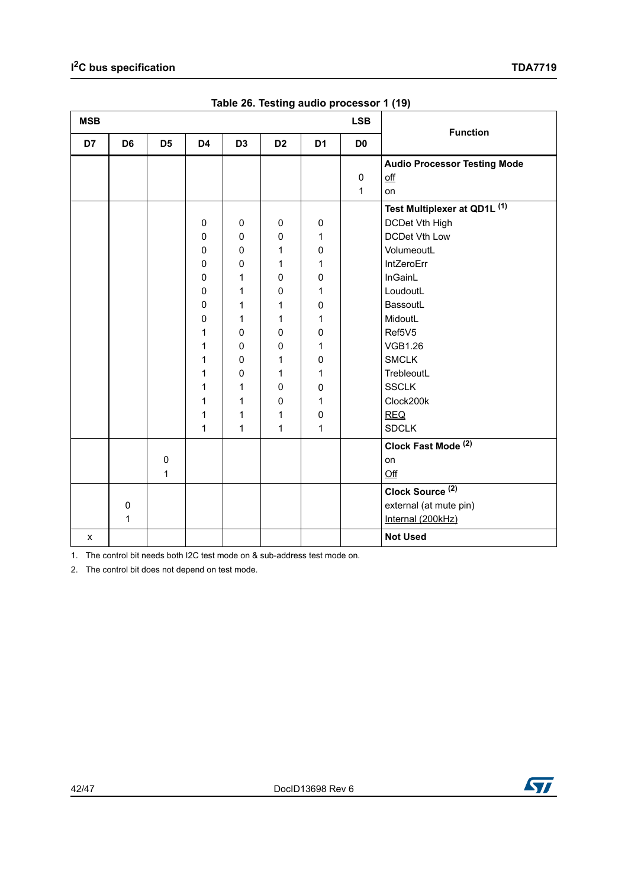<span id="page-41-0"></span>

| <b>MSB</b> |                |                |                |                | <b>LSB</b>     |                |                | <b>Function</b>                     |  |
|------------|----------------|----------------|----------------|----------------|----------------|----------------|----------------|-------------------------------------|--|
| D7         | D <sub>6</sub> | D <sub>5</sub> | D <sub>4</sub> | D <sub>3</sub> | D <sub>2</sub> | D <sub>1</sub> | D <sub>0</sub> |                                     |  |
|            |                |                |                |                |                |                |                | <b>Audio Processor Testing Mode</b> |  |
|            |                |                |                |                |                |                | $\pmb{0}$      | off                                 |  |
|            |                |                |                |                |                |                | 1              | on                                  |  |
|            |                |                |                |                |                |                |                | Test Multiplexer at QD1L (1)        |  |
|            |                |                | $\mathbf 0$    | $\mathbf 0$    | $\mathbf 0$    | 0              |                | DCDet Vth High                      |  |
|            |                |                | $\mathbf 0$    | 0              | $\mathsf 0$    | 1              |                | <b>DCDet Vth Low</b>                |  |
|            |                |                | $\mathbf 0$    | $\mathbf 0$    | 1              | 0              |                | VolumeoutL                          |  |
|            |                |                | 0              | 0              | 1              | 1              |                | IntZeroErr                          |  |
|            |                |                | $\mathbf 0$    | 1              | $\mathbf 0$    | 0              |                | InGainL                             |  |
|            |                |                | 0              | 1              | 0              | 1              |                | LoudoutL                            |  |
|            |                |                | 0              | 1              | 1              | 0              |                | BassoutL                            |  |
|            |                |                | 0              | 1              | 1              | 1              |                | MidoutL                             |  |
|            |                |                | 1              | $\mathbf 0$    | $\mathbf 0$    | 0              |                | Ref5V5                              |  |
|            |                |                | 1              | $\mathbf 0$    | 0              | 1              |                | <b>VGB1.26</b>                      |  |
|            |                |                | 1              | $\mathbf 0$    | 1              | 0              |                | <b>SMCLK</b>                        |  |
|            |                |                | 1              | $\mathbf 0$    | 1              | 1              |                | TrebleoutL                          |  |
|            |                |                | 1              | 1              | $\pmb{0}$      | 0              |                | <b>SSCLK</b>                        |  |
|            |                |                | 1              | 1              | $\mathbf 0$    | 1              |                | Clock200k                           |  |
|            |                |                | 1              | 1              | 1              | $\mathsf 0$    |                | <b>REQ</b>                          |  |
|            |                |                | 1              | 1              | $\mathbf{1}$   | $\mathbf{1}$   |                | <b>SDCLK</b>                        |  |
|            |                |                |                |                |                |                |                | Clock Fast Mode <sup>(2)</sup>      |  |
|            |                | 0              |                |                |                |                |                | on                                  |  |
|            |                | 1              |                |                |                |                |                | Qff                                 |  |
|            |                |                |                |                |                |                |                | Clock Source <sup>(2)</sup>         |  |
|            | $\mathbf 0$    |                |                |                |                |                |                | external (at mute pin)              |  |
|            | 1              |                |                |                |                |                |                | Internal (200kHz)                   |  |
| X          |                |                |                |                |                |                |                | <b>Not Used</b>                     |  |

**Table 26. Testing audio processor 1 (19)** 

1. The control bit needs both I2C test mode on & sub-address test mode on.

2. The control bit does not depend on test mode.

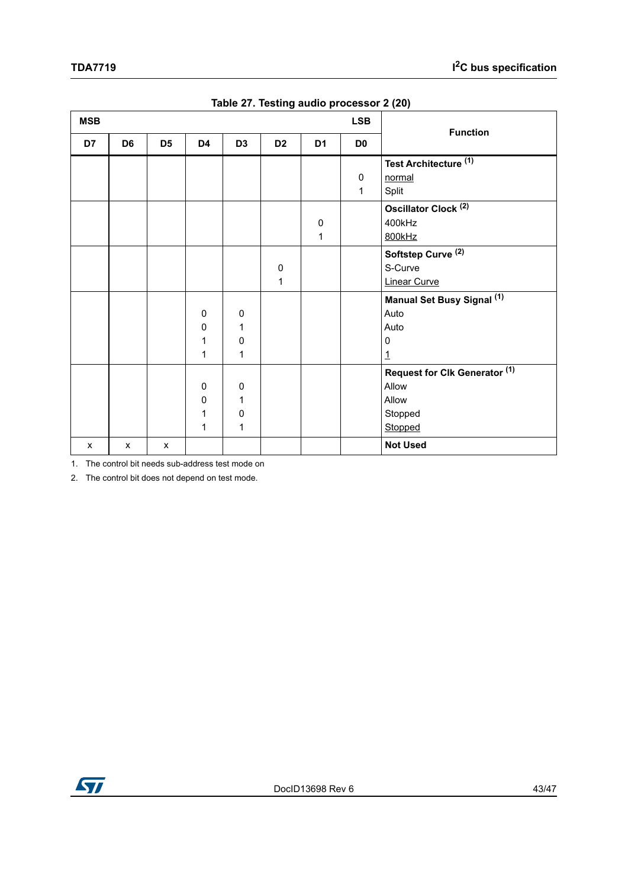<span id="page-42-0"></span>

| <b>MSB</b> |                |                |             |                |                |                | <b>LSB</b>     | <b>Function</b>                       |
|------------|----------------|----------------|-------------|----------------|----------------|----------------|----------------|---------------------------------------|
| D7         | D <sub>6</sub> | D <sub>5</sub> | D4          | D <sub>3</sub> | D <sub>2</sub> | D <sub>1</sub> | D <sub>0</sub> |                                       |
|            |                |                |             |                |                |                |                | Test Architecture <sup>(1)</sup>      |
|            |                |                |             |                |                |                | $\mathbf 0$    | normal                                |
|            |                |                |             |                |                |                | $\mathbf{1}$   | Split                                 |
|            |                |                |             |                |                |                |                | Oscillator Clock <sup>(2)</sup>       |
|            |                |                |             |                |                | 0              |                | 400kHz                                |
|            |                |                |             |                |                | 1              |                | 800kHz                                |
|            |                |                |             |                |                |                |                | Softstep Curve <sup>(2)</sup>         |
|            |                |                |             |                | $\pmb{0}$      |                |                | S-Curve                               |
|            |                |                |             |                | 1              |                |                | <b>Linear Curve</b>                   |
|            |                |                |             |                |                |                |                | Manual Set Busy Signal <sup>(1)</sup> |
|            |                |                | 0           | $\mathbf 0$    |                |                |                | Auto                                  |
|            |                |                | 0           | 1              |                |                |                | Auto                                  |
|            |                |                | 1           | $\pmb{0}$      |                |                |                | $\mathbf 0$                           |
|            |                |                | 1           | 1              |                |                |                | $\overline{1}$                        |
|            |                |                |             |                |                |                |                | Request for Clk Generator (1)         |
|            |                |                | $\mathbf 0$ | $\mathbf 0$    |                |                |                | Allow                                 |
|            |                |                | 0           | 1              |                |                |                | Allow                                 |
|            |                |                | 1           | $\pmb{0}$      |                |                |                | Stopped                               |
|            |                |                | 1           | 1              |                |                |                | Stopped                               |
| X          | X              | $\mathsf{x}$   |             |                |                |                |                | <b>Not Used</b>                       |

|  |  |  | Table 27. Testing audio processor 2 (20) |  |
|--|--|--|------------------------------------------|--|
|--|--|--|------------------------------------------|--|

1. The control bit needs sub-address test mode on

2. The control bit does not depend on test mode.

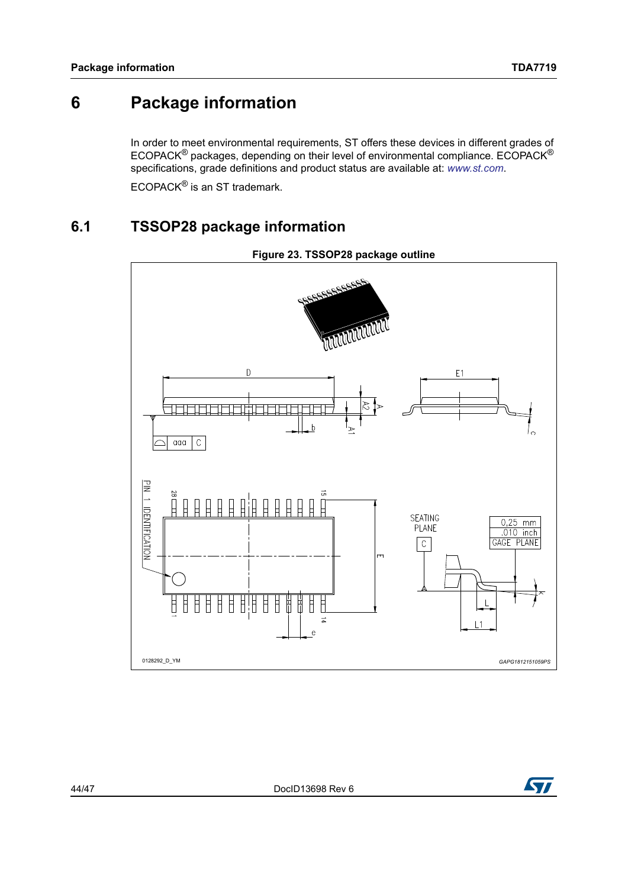## <span id="page-43-0"></span>**6 Package information**

In order to meet environmental requirements, ST offers these devices in different grades of ECOPACK® packages, depending on their level of environmental compliance. ECOPACK® specifications, grade definitions and product status are available at: *[www.st.com](http://www.st.com)*.

ECOPACK® is an ST trademark.

## <span id="page-43-1"></span>**6.1 TSSOP28 package information**

<span id="page-43-2"></span>

**Figure 23. TSSOP28 package outline**

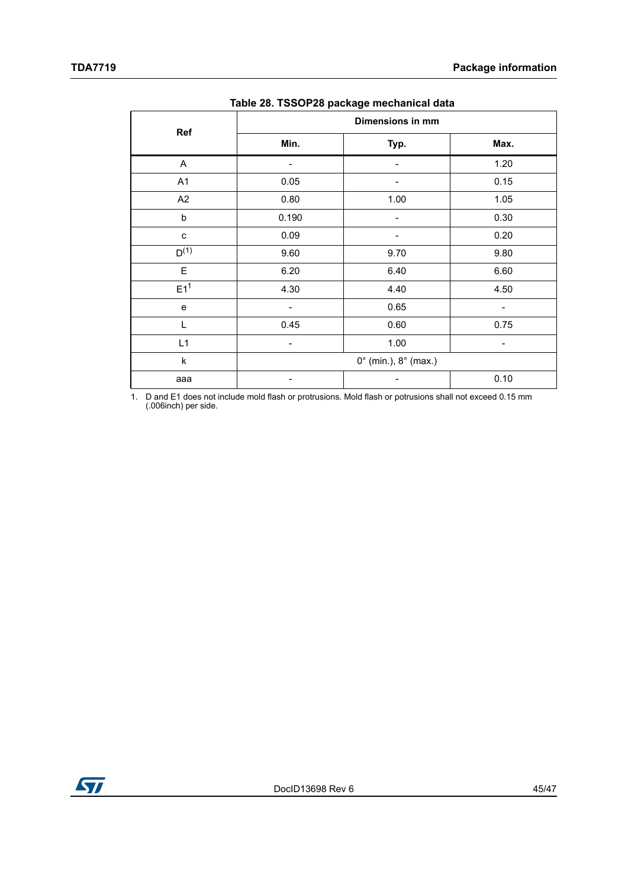<span id="page-44-0"></span>

| Ref             |       | Dimensions in mm                       |      |
|-----------------|-------|----------------------------------------|------|
|                 | Min.  | Typ.                                   | Max. |
| A               |       |                                        | 1.20 |
| A1              | 0.05  |                                        | 0.15 |
| A2              | 0.80  | 1.00                                   | 1.05 |
| b               | 0.190 |                                        | 0.30 |
| $\mathbf{C}$    | 0.09  |                                        | 0.20 |
| $D^{(1)}$       | 9.60  | 9.70                                   | 9.80 |
| E               | 6.20  | 6.40                                   | 6.60 |
| E1 <sup>1</sup> | 4.30  | 4.40                                   | 4.50 |
| $\mathbf e$     |       | 0.65                                   |      |
| L               | 0.45  | 0.60                                   | 0.75 |
| L1              | -     | 1.00                                   | -    |
| $\sf k$         |       | $0^{\circ}$ (min.), $8^{\circ}$ (max.) |      |
| aaa             |       |                                        | 0.10 |

**Table 28. TSSOP28 package mechanical data**

1. D and E1 does not include mold flash or protrusions. Mold flash or potrusions shall not exceed 0.15 mm (.006inch) per side.

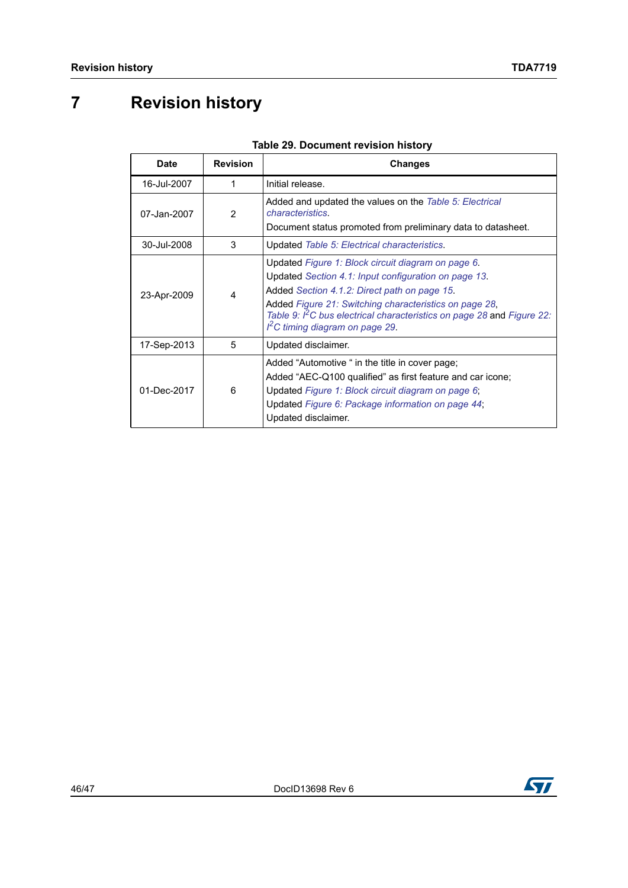# <span id="page-45-0"></span>**7 Revision history**

<span id="page-45-1"></span>

| <b>Date</b> | <b>Revision</b> | <b>Changes</b>                                                                                                                                                                                                                                                                                                                                 |
|-------------|-----------------|------------------------------------------------------------------------------------------------------------------------------------------------------------------------------------------------------------------------------------------------------------------------------------------------------------------------------------------------|
| 16-Jul-2007 | 1               | Initial release.                                                                                                                                                                                                                                                                                                                               |
| 07-Jan-2007 | 2               | Added and updated the values on the Table 5: Electrical<br><i>characteristics.</i><br>Document status promoted from preliminary data to datasheet.                                                                                                                                                                                             |
| 30-Jul-2008 | 3               | Updated Table 5: Electrical characteristics.                                                                                                                                                                                                                                                                                                   |
| 23-Apr-2009 | 4               | Updated Figure 1: Block circuit diagram on page 6.<br>Updated Section 4.1: Input configuration on page 13.<br>Added Section 4.1.2: Direct path on page 15.<br>Added Figure 21: Switching characteristics on page 28,<br>Table 9: I <sup>2</sup> C bus electrical characteristics on page 28 and Figure 22:<br>$I2C$ timing diagram on page 29. |
| 17-Sep-2013 | 5               | Updated disclaimer.                                                                                                                                                                                                                                                                                                                            |
| 01-Dec-2017 | 6               | Added "Automotive " in the title in cover page;<br>Added "AEC-Q100 qualified" as first feature and car icone;<br>Updated Figure 1: Block circuit diagram on page 6;<br>Updated Figure 6: Package information on page 44;<br>Updated disclaimer.                                                                                                |

#### **Table 29. Document revision history**